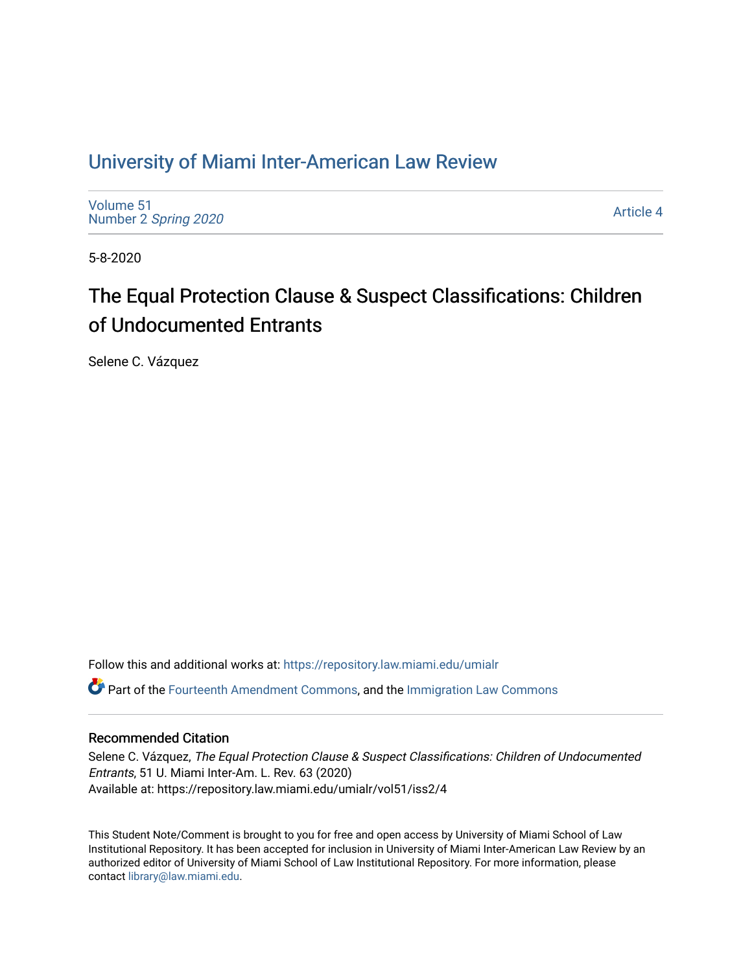## [University of Miami Inter-American Law Review](https://repository.law.miami.edu/umialr)

[Volume 51](https://repository.law.miami.edu/umialr/vol51) Number 2 [Spring 2020](https://repository.law.miami.edu/umialr/vol51/iss2) 

[Article 4](https://repository.law.miami.edu/umialr/vol51/iss2/4) 

5-8-2020

# The Equal Protection Clause & Suspect Classifications: Children of Undocumented Entrants

Selene C. Vázquez

Follow this and additional works at: [https://repository.law.miami.edu/umialr](https://repository.law.miami.edu/umialr?utm_source=repository.law.miami.edu%2Fumialr%2Fvol51%2Fiss2%2F4&utm_medium=PDF&utm_campaign=PDFCoverPages)

Part of the [Fourteenth Amendment Commons](http://network.bepress.com/hgg/discipline/1116?utm_source=repository.law.miami.edu%2Fumialr%2Fvol51%2Fiss2%2F4&utm_medium=PDF&utm_campaign=PDFCoverPages), and the [Immigration Law Commons](http://network.bepress.com/hgg/discipline/604?utm_source=repository.law.miami.edu%2Fumialr%2Fvol51%2Fiss2%2F4&utm_medium=PDF&utm_campaign=PDFCoverPages) 

## Recommended Citation

Selene C. Vázquez, The Equal Protection Clause & Suspect Classifications: Children of Undocumented Entrants, 51 U. Miami Inter-Am. L. Rev. 63 (2020) Available at: https://repository.law.miami.edu/umialr/vol51/iss2/4

This Student Note/Comment is brought to you for free and open access by University of Miami School of Law Institutional Repository. It has been accepted for inclusion in University of Miami Inter-American Law Review by an authorized editor of University of Miami School of Law Institutional Repository. For more information, please contact [library@law.miami.edu](mailto:library@law.miami.edu).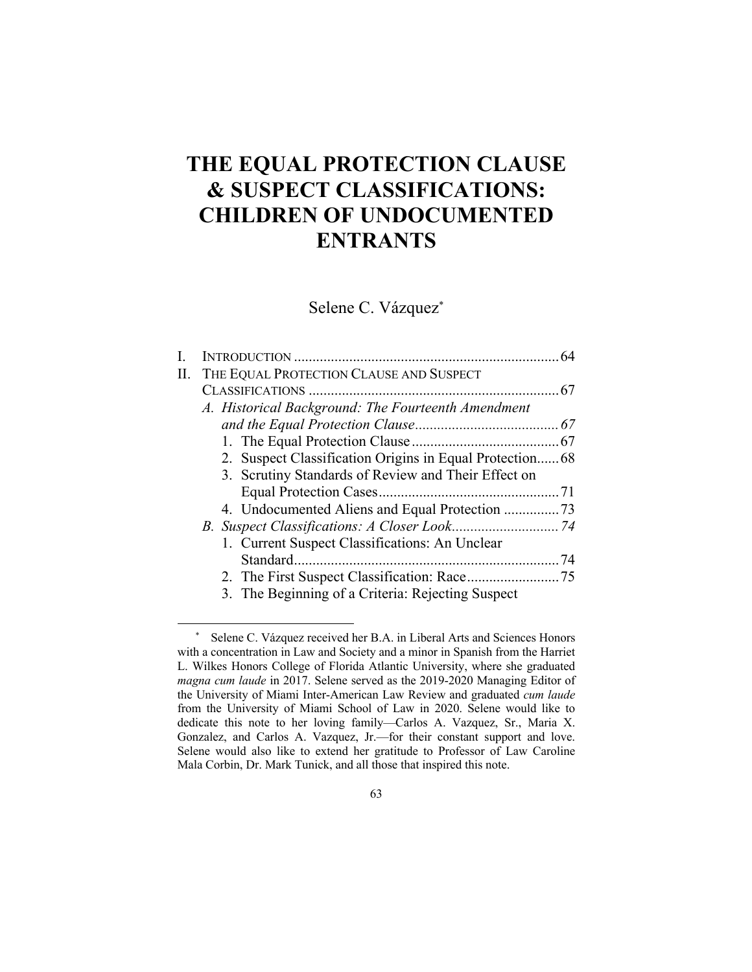## **THE EQUAL PROTECTION CLAUSE & SUSPECT CLASSIFICATIONS: CHILDREN OF UNDOCUMENTED ENTRANTS**

Selene C. Vázquez\*

| П. | THE EQUAL PROTECTION CLAUSE AND SUSPECT             |  |
|----|-----------------------------------------------------|--|
|    |                                                     |  |
|    | A. Historical Background: The Fourteenth Amendment  |  |
|    |                                                     |  |
|    |                                                     |  |
|    |                                                     |  |
|    | 3. Scrutiny Standards of Review and Their Effect on |  |
|    |                                                     |  |
|    | 4. Undocumented Aliens and Equal Protection 73      |  |
|    |                                                     |  |
|    | 1. Current Suspect Classifications: An Unclear      |  |
|    |                                                     |  |
|    |                                                     |  |
|    | 3. The Beginning of a Criteria: Rejecting Suspect   |  |
|    |                                                     |  |

<sup>\*</sup> Selene C. Vázquez received her B.A. in Liberal Arts and Sciences Honors with a concentration in Law and Society and a minor in Spanish from the Harriet L. Wilkes Honors College of Florida Atlantic University, where she graduated *magna cum laude* in 2017. Selene served as the 2019-2020 Managing Editor of the University of Miami Inter-American Law Review and graduated *cum laude* from the University of Miami School of Law in 2020. Selene would like to dedicate this note to her loving family—Carlos A. Vazquez, Sr., Maria X. Gonzalez, and Carlos A. Vazquez, Jr.—for their constant support and love. Selene would also like to extend her gratitude to Professor of Law Caroline Mala Corbin, Dr. Mark Tunick, and all those that inspired this note.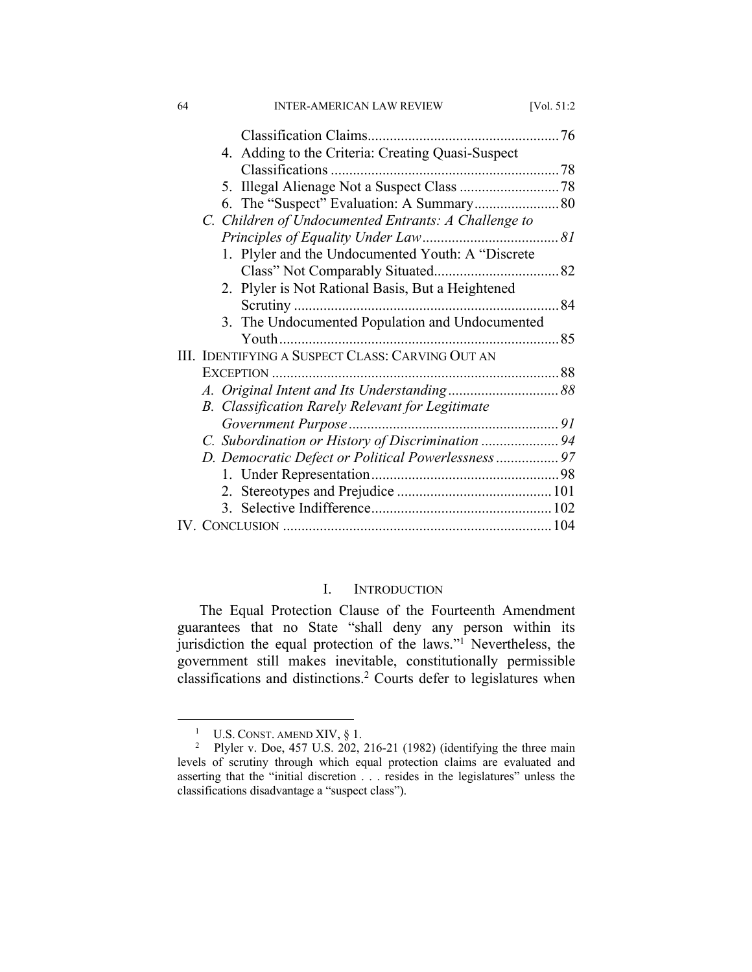| 64 | <b>INTER-AMERICAN LAW REVIEW</b>                     | [Vol. 51:2] |
|----|------------------------------------------------------|-------------|
|    |                                                      |             |
|    | 4. Adding to the Criteria: Creating Quasi-Suspect    |             |
|    |                                                      |             |
|    |                                                      |             |
|    | 6. The "Suspect" Evaluation: A Summary 80            |             |
|    | C. Children of Undocumented Entrants: A Challenge to |             |
|    |                                                      |             |
|    | 1. Plyler and the Undocumented Youth: A "Discrete    |             |
|    |                                                      |             |
|    | 2. Plyler is Not Rational Basis, But a Heightened    |             |
|    |                                                      |             |
|    | 3. The Undocumented Population and Undocumented      |             |
|    |                                                      |             |
|    | III. IDENTIFYING A SUSPECT CLASS: CARVING OUT AN     |             |
|    |                                                      |             |
|    |                                                      |             |
|    | B. Classification Rarely Relevant for Legitimate     |             |
|    |                                                      |             |
|    | C. Subordination or History of Discrimination 94     |             |
|    | D. Democratic Defect or Political Powerlessness 97   |             |
|    |                                                      |             |
|    |                                                      |             |
|    |                                                      |             |
|    |                                                      |             |
|    |                                                      |             |

## I. INTRODUCTION

The Equal Protection Clause of the Fourteenth Amendment guarantees that no State "shall deny any person within its jurisdiction the equal protection of the laws."<sup>1</sup> Nevertheless, the government still makes inevitable, constitutionally permissible classifications and distinctions.2 Courts defer to legislatures when

<sup>&</sup>lt;sup>1</sup> U.S. CONST. AMEND XIV,  $\S$  1.<br><sup>2</sup> Plyler v. Doe, 457 U.S. 202, 216-21 (1982) (identifying the three main levels of scrutiny through which equal protection claims are evaluated and asserting that the "initial discretion . . . resides in the legislatures" unless the classifications disadvantage a "suspect class").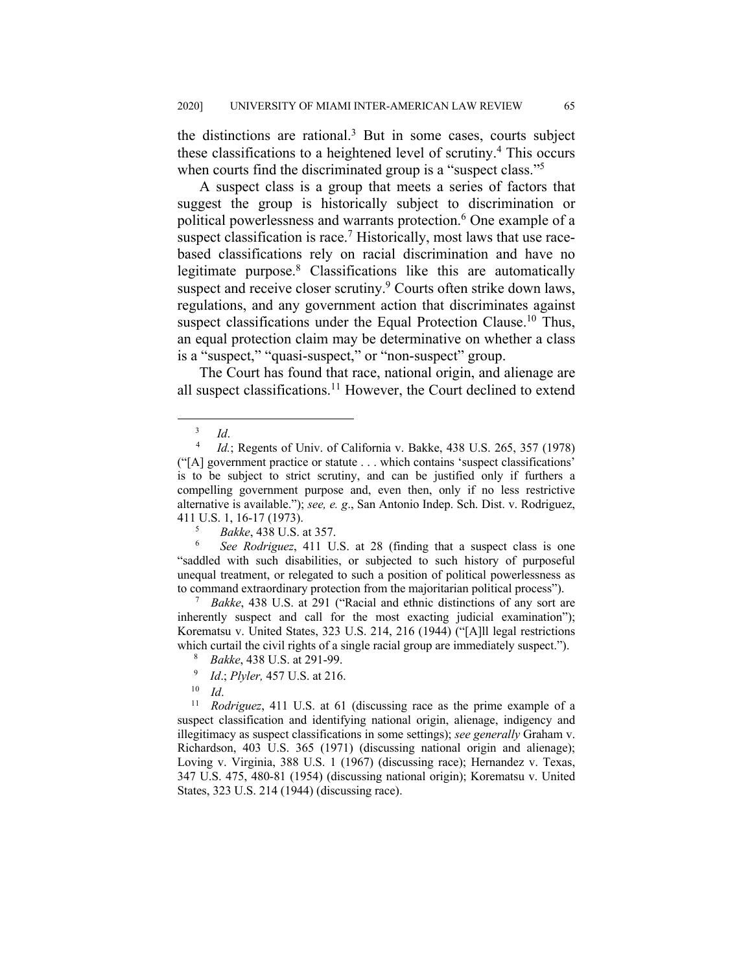the distinctions are rational. $3$  But in some cases, courts subject these classifications to a heightened level of scrutiny.4 This occurs when courts find the discriminated group is a "suspect class."<sup>5</sup>

A suspect class is a group that meets a series of factors that suggest the group is historically subject to discrimination or political powerlessness and warrants protection.<sup>6</sup> One example of a suspect classification is race.<sup>7</sup> Historically, most laws that use racebased classifications rely on racial discrimination and have no legitimate purpose.8 Classifications like this are automatically suspect and receive closer scrutiny.<sup>9</sup> Courts often strike down laws, regulations, and any government action that discriminates against suspect classifications under the Equal Protection Clause.<sup>10</sup> Thus, an equal protection claim may be determinative on whether a class is a "suspect," "quasi-suspect," or "non-suspect" group.

The Court has found that race, national origin, and alienage are all suspect classifications.<sup>11</sup> However, the Court declined to extend

<sup>7</sup> *Bakke*, 438 U.S. at 291 ("Racial and ethnic distinctions of any sort are inherently suspect and call for the most exacting judicial examination"); Korematsu v. United States, 323 U.S. 214, 216 (1944) ("[A]ll legal restrictions which curtail the civil rights of a single racial group are immediately suspect.").

<sup>10</sup> *Id.* 10 *Id.* 10 *Id.* 11 *U.S.* at 61 (discussing race as the prime example of a suspect classification and identifying national origin, alienage, indigency and illegitimacy as suspect classifications in some settings); *see generally* Graham v. Richardson, 403 U.S. 365 (1971) (discussing national origin and alienage); Loving v. Virginia, 388 U.S. 1 (1967) (discussing race); Hernandez v. Texas, 347 U.S. 475, 480-81 (1954) (discussing national origin); Korematsu v. United States, 323 U.S. 214 (1944) (discussing race).

 $\frac{3}{4}$  *Id.* 

*Id.*; Regents of Univ. of California v. Bakke, 438 U.S. 265, 357 (1978) ("[A] government practice or statute . . . which contains 'suspect classifications' is to be subject to strict scrutiny, and can be justified only if furthers a compelling government purpose and, even then, only if no less restrictive alternative is available."); *see, e. g*., San Antonio Indep. Sch. Dist. v. Rodriguez, 411 U.S. 1, 16-17 (1973).

<sup>5</sup> *Bakke*, 438 U.S. at 357.

<sup>6</sup> *See Rodriguez*, 411 U.S. at 28 (finding that a suspect class is one "saddled with such disabilities, or subjected to such history of purposeful unequal treatment, or relegated to such a position of political powerlessness as to command extraordinary protection from the majoritarian political process").

<sup>8</sup>  *Bakke*, 438 U.S. at 291-99.

<sup>9</sup> <sup>9</sup> *Id.*; *Plyler*, 457 U.S. at 216.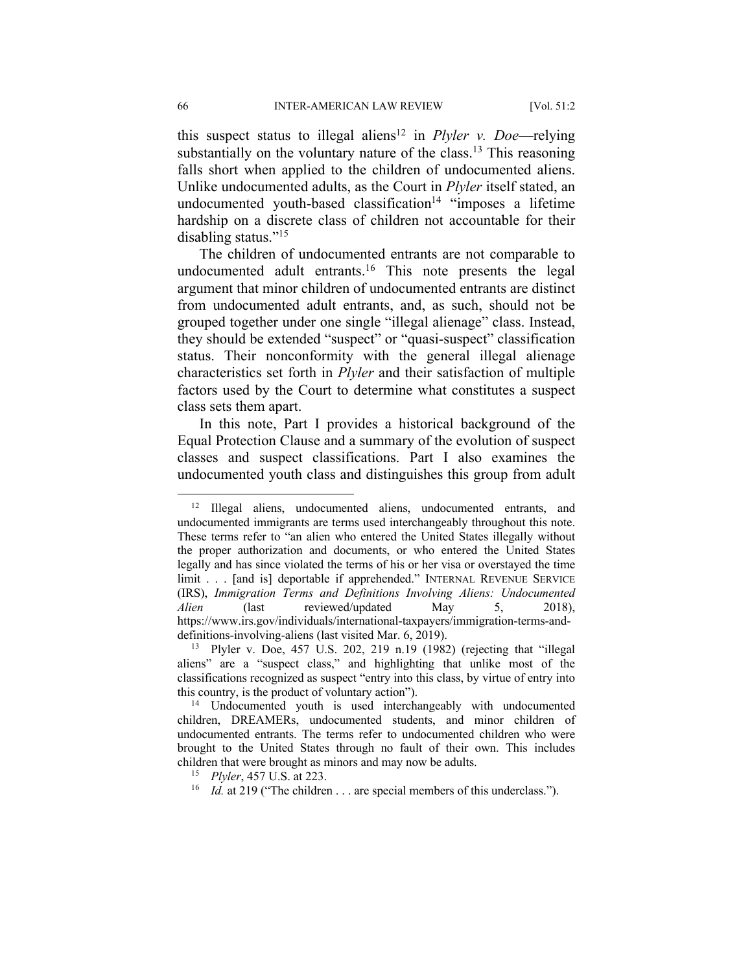this suspect status to illegal aliens<sup>12</sup> in *Plyler v. Doe*—relying substantially on the voluntary nature of the class.<sup>13</sup> This reasoning falls short when applied to the children of undocumented aliens. Unlike undocumented adults, as the Court in *Plyler* itself stated, an undocumented youth-based classification<sup>14</sup> "imposes a lifetime hardship on a discrete class of children not accountable for their disabling status."15

The children of undocumented entrants are not comparable to undocumented adult entrants.<sup>16</sup> This note presents the legal argument that minor children of undocumented entrants are distinct from undocumented adult entrants, and, as such, should not be grouped together under one single "illegal alienage" class. Instead, they should be extended "suspect" or "quasi-suspect" classification status. Their nonconformity with the general illegal alienage characteristics set forth in *Plyler* and their satisfaction of multiple factors used by the Court to determine what constitutes a suspect class sets them apart.

In this note, Part I provides a historical background of the Equal Protection Clause and a summary of the evolution of suspect classes and suspect classifications. Part I also examines the undocumented youth class and distinguishes this group from adult

<sup>&</sup>lt;sup>12</sup> Illegal aliens, undocumented aliens, undocumented entrants, and undocumented immigrants are terms used interchangeably throughout this note. These terms refer to "an alien who entered the United States illegally without the proper authorization and documents, or who entered the United States legally and has since violated the terms of his or her visa or overstayed the time limit . . . [and is] deportable if apprehended." INTERNAL REVENUE SERVICE (IRS), *Immigration Terms and Definitions Involving Aliens: Undocumented Alien* (last reviewed/updated May 5, 2018), https://www.irs.gov/individuals/international-taxpayers/immigration-terms-anddefinitions-involving-aliens (last visited Mar. 6, 2019).

<sup>13</sup> Plyler v. Doe, 457 U.S. 202, 219 n.19 (1982) (rejecting that "illegal aliens" are a "suspect class," and highlighting that unlike most of the classifications recognized as suspect "entry into this class, by virtue of entry into this country, is the product of voluntary action"). 14 Undocumented youth is used interchangeably with undocumented

children, DREAMERs, undocumented students, and minor children of undocumented entrants. The terms refer to undocumented children who were brought to the United States through no fault of their own. This includes children that were brought as minors and may now be adults.

<sup>15</sup> *Plyler*, 457 U.S. at 223.

<sup>&</sup>lt;sup>16</sup> *Id.* at 219 ("The children . . . are special members of this underclass.").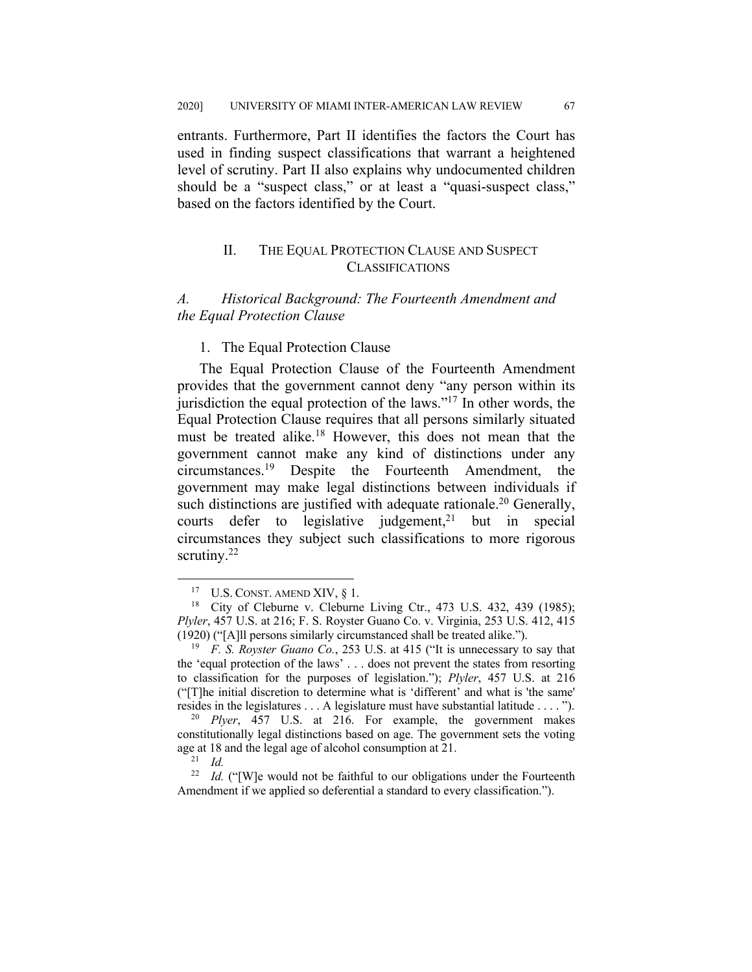entrants. Furthermore, Part II identifies the factors the Court has used in finding suspect classifications that warrant a heightened level of scrutiny. Part II also explains why undocumented children should be a "suspect class," or at least a "quasi-suspect class," based on the factors identified by the Court.

## II. THE EQUAL PROTECTION CLAUSE AND SUSPECT CLASSIFICATIONS

## *A. Historical Background: The Fourteenth Amendment and the Equal Protection Clause*

#### 1. The Equal Protection Clause

The Equal Protection Clause of the Fourteenth Amendment provides that the government cannot deny "any person within its jurisdiction the equal protection of the laws."17 In other words, the Equal Protection Clause requires that all persons similarly situated must be treated alike.<sup>18</sup> However, this does not mean that the government cannot make any kind of distinctions under any circumstances.19 Despite the Fourteenth Amendment, the government may make legal distinctions between individuals if such distinctions are justified with adequate rationale.<sup>20</sup> Generally, courts defer to legislative judgement,<sup>21</sup> but in special circumstances they subject such classifications to more rigorous scrutiny. $^{22}$ 

<sup>17</sup> U.S. CONST. AMEND XIV, § 1.

<sup>&</sup>lt;sup>18</sup> City of Cleburne v. Cleburne Living Ctr., 473 U.S. 432, 439 (1985); *Plyler*, 457 U.S. at 216; F. S. Royster Guano Co. v. Virginia, 253 U.S. 412, 415 (1920) ("[A]ll persons similarly circumstanced shall be treated alike.").

<sup>19</sup> *F. S. Royster Guano Co.*, 253 U.S. at 415 ("It is unnecessary to say that the 'equal protection of the laws' . . . does not prevent the states from resorting to classification for the purposes of legislation."); *Plyler*, 457 U.S. at 216 ("[T]he initial discretion to determine what is 'different' and what is 'the same' resides in the legislatures . . . A legislature must have substantial latitude . . . . ").

<sup>20</sup> *Plyer*, 457 U.S. at 216. For example, the government makes constitutionally legal distinctions based on age. The government sets the voting age at 18 and the legal age of alcohol consumption at 21. 21 *Id.*

<sup>&</sup>lt;sup>22</sup> *Id.* ("[W]e would not be faithful to our obligations under the Fourteenth Amendment if we applied so deferential a standard to every classification.").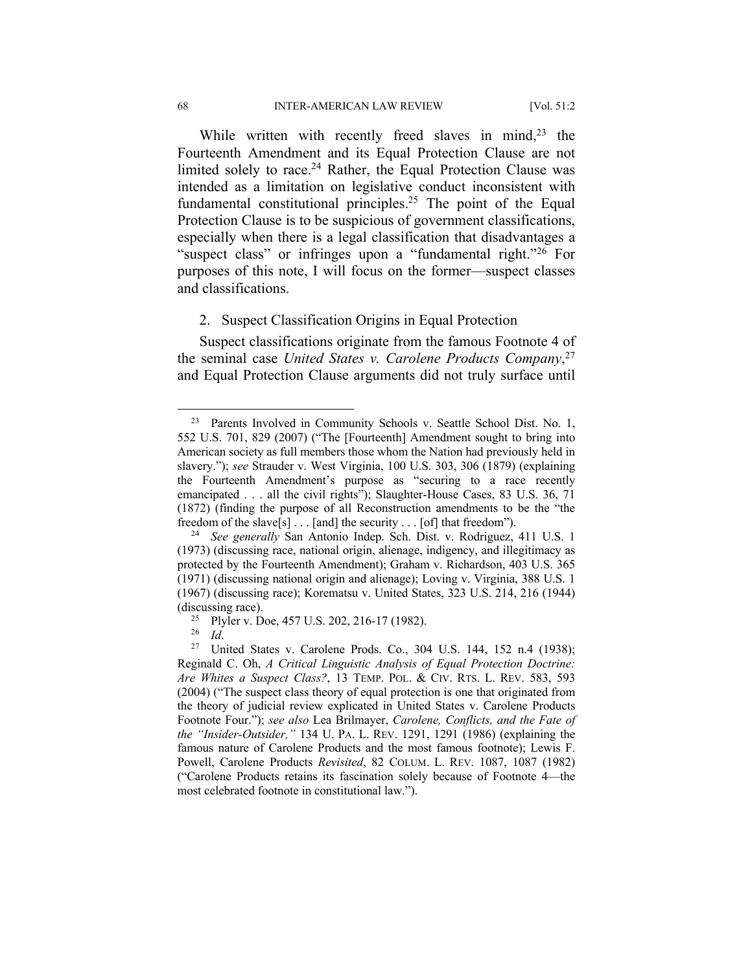While written with recently freed slaves in mind,<sup>23</sup> the Fourteenth Amendment and its Equal Protection Clause are not limited solely to race.<sup>24</sup> Rather, the Equal Protection Clause was intended as a limitation on legislative conduct inconsistent with fundamental constitutional principles.<sup>25</sup> The point of the Equal Protection Clause is to be suspicious of government classifications, especially when there is a legal classification that disadvantages a "suspect class" or infringes upon a "fundamental right."26 For purposes of this note, I will focus on the former—suspect classes and classifications.

#### 2. Suspect Classification Origins in Equal Protection

Suspect classifications originate from the famous Footnote 4 of the seminal case *United States v. Carolene Products Company*, 27 and Equal Protection Clause arguments did not truly surface until

<sup>&</sup>lt;sup>23</sup> Parents Involved in Community Schools v. Seattle School Dist. No. 1, 552 U.S. 701, 829 (2007) ("The [Fourteenth] Amendment sought to bring into American society as full members those whom the Nation had previously held in slavery."); *see* Strauder v. West Virginia, 100 U.S. 303, 306 (1879) (explaining the Fourteenth Amendment's purpose as "securing to a race recently emancipated . . . all the civil rights"); Slaughter-House Cases, 83 U.S. 36, 71 (1872) (finding the purpose of all Reconstruction amendments to be the "the freedom of the slave[s]  $\dots$  [and] the security  $\dots$  [of] that freedom").

<sup>24</sup> *See generally* San Antonio Indep. Sch. Dist. v. Rodriguez, 411 U.S. 1 (1973) (discussing race, national origin, alienage, indigency, and illegitimacy as protected by the Fourteenth Amendment); Graham v. Richardson, 403 U.S. 365 (1971) (discussing national origin and alienage); Loving v. Virginia, 388 U.S. 1 (1967) (discussing race); Korematsu v. United States, 323 U.S. 214, 216 (1944) (discussing race).<br><sup>25</sup> Plyler v. Doe, 457 U.S. 202, 216-17 (1982).

<sup>&</sup>lt;sup>26</sup> *Id. Id.* 27 United States v. Carolene Prods. Co., 304 U.S. 144, 152 n.4 (1938); Reginald C. Oh, *A Critical Linguistic Analysis of Equal Protection Doctrine: Are Whites a Suspect Class?*, 13 TEMP. POL. & CIV. RTS. L. REV. 583, 593 (2004) ("The suspect class theory of equal protection is one that originated from the theory of judicial review explicated in United States v. Carolene Products Footnote Four."); *see also* Lea Brilmayer, *Carolene, Conflicts, and the Fate of the "Insider-Outsider,"* 134 U. PA. L. REV. 1291, 1291 (1986) (explaining the famous nature of Carolene Products and the most famous footnote); Lewis F. Powell, Carolene Products *Revisited*, 82 COLUM. L. REV. 1087, 1087 (1982) ("Carolene Products retains its fascination solely because of Footnote 4—the most celebrated footnote in constitutional law.").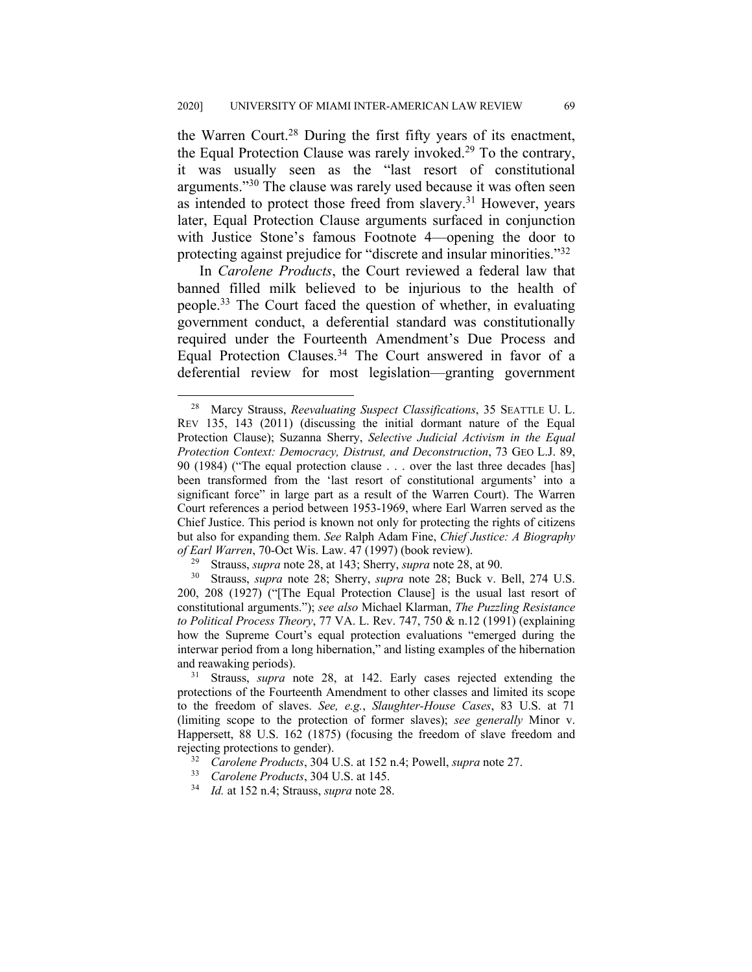the Warren Court.<sup>28</sup> During the first fifty years of its enactment, the Equal Protection Clause was rarely invoked.<sup>29</sup> To the contrary, it was usually seen as the "last resort of constitutional arguments."30 The clause was rarely used because it was often seen as intended to protect those freed from slavery.<sup>31</sup> However, years later, Equal Protection Clause arguments surfaced in conjunction with Justice Stone's famous Footnote 4—opening the door to protecting against prejudice for "discrete and insular minorities."32

In *Carolene Products*, the Court reviewed a federal law that banned filled milk believed to be injurious to the health of people.33 The Court faced the question of whether, in evaluating government conduct, a deferential standard was constitutionally required under the Fourteenth Amendment's Due Process and Equal Protection Clauses.34 The Court answered in favor of a deferential review for most legislation—granting government

<sup>28</sup> Marcy Strauss, *Reevaluating Suspect Classifications*, 35 SEATTLE U. L. REV 135, 143 (2011) (discussing the initial dormant nature of the Equal Protection Clause); Suzanna Sherry, *Selective Judicial Activism in the Equal Protection Context: Democracy, Distrust, and Deconstruction*, 73 GEO L.J. 89, 90 (1984) ("The equal protection clause . . . over the last three decades [has] been transformed from the 'last resort of constitutional arguments' into a significant force" in large part as a result of the Warren Court). The Warren Court references a period between 1953-1969, where Earl Warren served as the Chief Justice. This period is known not only for protecting the rights of citizens but also for expanding them. *See* Ralph Adam Fine, *Chief Justice: A Biography of Earl Warren*, 70-Oct Wis. Law. 47 (1997) (book review).

<sup>29</sup> Strauss, *supra* note 28, at 143; Sherry, *supra* note 28, at 90.

<sup>30</sup> Strauss, *supra* note 28; Sherry, *supra* note 28; Buck v. Bell, 274 U.S. 200, 208 (1927) ("[The Equal Protection Clause] is the usual last resort of constitutional arguments."); *see also* Michael Klarman, *The Puzzling Resistance to Political Process Theory*, 77 VA. L. Rev. 747, 750 & n.12 (1991) (explaining how the Supreme Court's equal protection evaluations "emerged during the interwar period from a long hibernation," and listing examples of the hibernation and reawaking periods).

<sup>31</sup> Strauss, *supra* note 28, at 142. Early cases rejected extending the protections of the Fourteenth Amendment to other classes and limited its scope to the freedom of slaves. *See, e.g.*, *Slaughter-House Cases*, 83 U.S. at 71 (limiting scope to the protection of former slaves); *see generally* Minor v. Happersett, 88 U.S. 162 (1875) (focusing the freedom of slave freedom and rejecting protections to gender).

<sup>32</sup> *Carolene Products*, 304 U.S. at 152 n.4; Powell, *supra* note 27.

<sup>33</sup> *Carolene Products*, 304 U.S. at 145.

<sup>34</sup> *Id.* at 152 n.4; Strauss, *supra* note 28.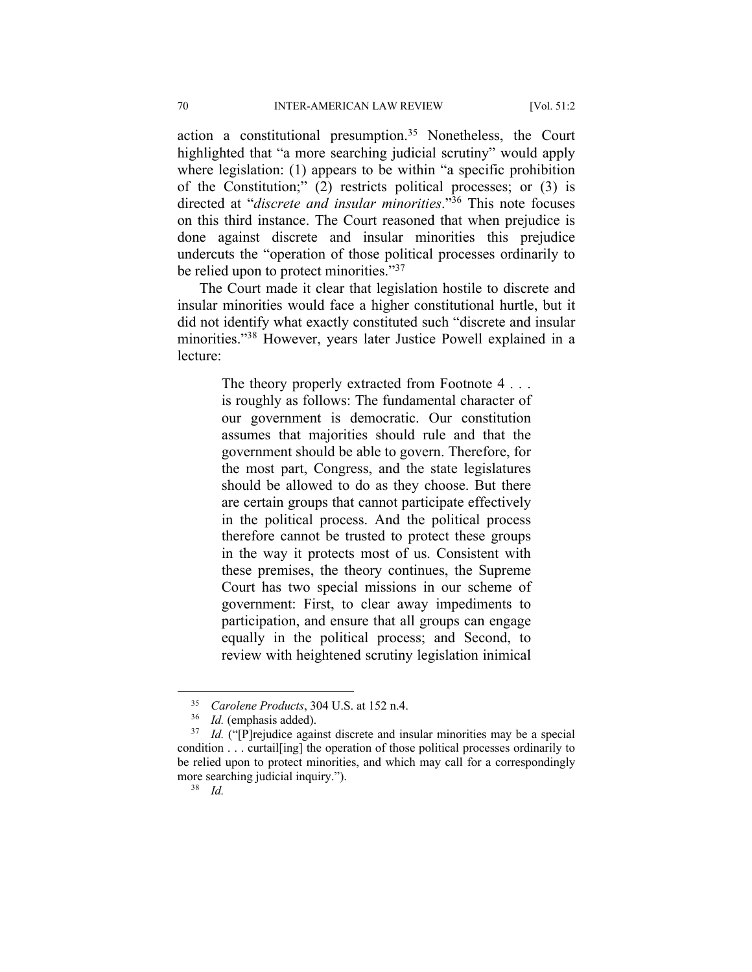action a constitutional presumption.<sup>35</sup> Nonetheless, the Court highlighted that "a more searching judicial scrutiny" would apply where legislation: (1) appears to be within "a specific prohibition of the Constitution;" (2) restricts political processes; or (3) is directed at "*discrete and insular minorities*."36 This note focuses on this third instance. The Court reasoned that when prejudice is done against discrete and insular minorities this prejudice undercuts the "operation of those political processes ordinarily to be relied upon to protect minorities."<sup>37</sup>

The Court made it clear that legislation hostile to discrete and insular minorities would face a higher constitutional hurtle, but it did not identify what exactly constituted such "discrete and insular minorities."38 However, years later Justice Powell explained in a lecture:

> The theory properly extracted from Footnote 4... is roughly as follows: The fundamental character of our government is democratic. Our constitution assumes that majorities should rule and that the government should be able to govern. Therefore, for the most part, Congress, and the state legislatures should be allowed to do as they choose. But there are certain groups that cannot participate effectively in the political process. And the political process therefore cannot be trusted to protect these groups in the way it protects most of us. Consistent with these premises, the theory continues, the Supreme Court has two special missions in our scheme of government: First, to clear away impediments to participation, and ensure that all groups can engage equally in the political process; and Second, to review with heightened scrutiny legislation inimical

<sup>&</sup>lt;sup>35</sup> *Carolene Products*, 304 U.S. at 152 n.4.<br><sup>36</sup> *M* (emphasis added)

 $^{36}$  *Id.* (emphasis added).<br> $^{37}$  *Id.* ("[P] rejudice again

Id. <sup>("</sup>[P]rejudice against discrete and insular minorities may be a special condition . . . curtail[ing] the operation of those political processes ordinarily to be relied upon to protect minorities, and which may call for a correspondingly more searching judicial inquiry.").

<sup>38</sup> *Id.*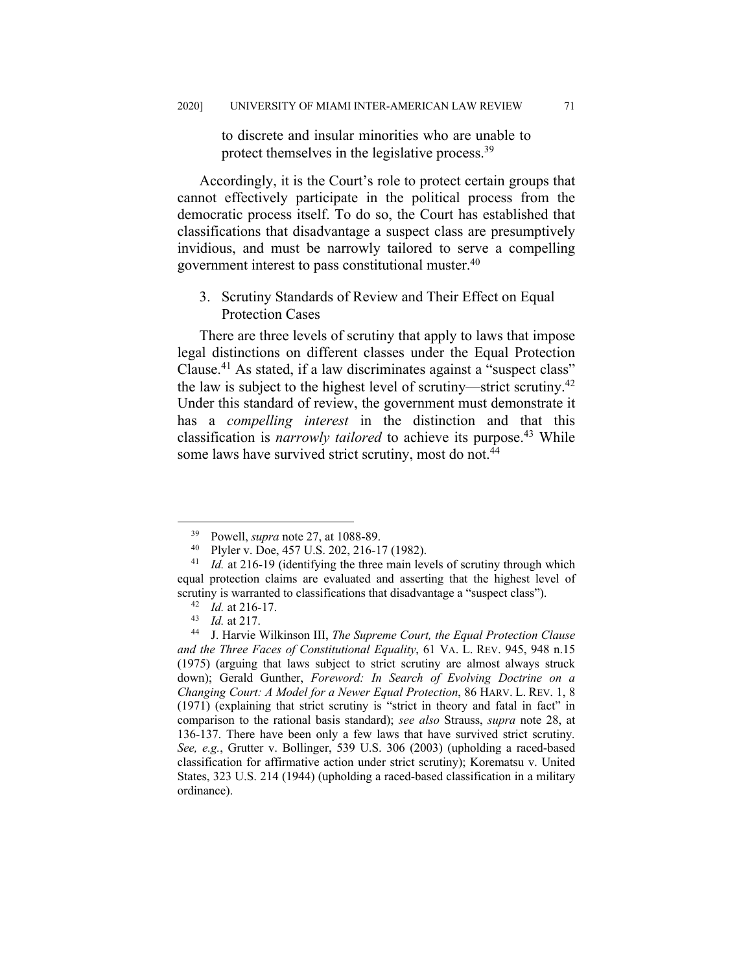to discrete and insular minorities who are unable to protect themselves in the legislative process.<sup>39</sup>

Accordingly, it is the Court's role to protect certain groups that cannot effectively participate in the political process from the democratic process itself. To do so, the Court has established that classifications that disadvantage a suspect class are presumptively invidious, and must be narrowly tailored to serve a compelling government interest to pass constitutional muster.40

3. Scrutiny Standards of Review and Their Effect on Equal Protection Cases

There are three levels of scrutiny that apply to laws that impose legal distinctions on different classes under the Equal Protection Clause.41 As stated, if a law discriminates against a "suspect class" the law is subject to the highest level of scrutiny—strict scrutiny.<sup>42</sup> Under this standard of review, the government must demonstrate it has a *compelling interest* in the distinction and that this classification is *narrowly tailored* to achieve its purpose.43 While some laws have survived strict scrutiny, most do not.<sup>44</sup>

<sup>&</sup>lt;sup>39</sup> Powell, *supra* note 27, at 1088-89.<br><sup>40</sup> Phyler y Doe 457 U.S. 202, 216-1

<sup>40</sup> Plyler v. Doe, 457 U.S. 202, 216-17 (1982). 41 *Id.* at 216-19 (identifying the three main levels of scrutiny through which equal protection claims are evaluated and asserting that the highest level of scrutiny is warranted to classifications that disadvantage a "suspect class").

<sup>42</sup> *Id.* at 216-17.

<sup>43</sup> *Id.* at 217.

<sup>44</sup> J. Harvie Wilkinson III, *The Supreme Court, the Equal Protection Clause and the Three Faces of Constitutional Equality*, 61 VA. L. REV. 945, 948 n.15 (1975) (arguing that laws subject to strict scrutiny are almost always struck down); Gerald Gunther, *Foreword: In Search of Evolving Doctrine on a Changing Court: A Model for a Newer Equal Protection*, 86 HARV. L. REV. 1, 8 (1971) (explaining that strict scrutiny is "strict in theory and fatal in fact" in comparison to the rational basis standard); *see also* Strauss, *supra* note 28, at 136-137. There have been only a few laws that have survived strict scrutiny*. See, e.g.*, Grutter v. Bollinger, 539 U.S. 306 (2003) (upholding a raced-based classification for affirmative action under strict scrutiny); Korematsu v. United States, 323 U.S. 214 (1944) (upholding a raced-based classification in a military ordinance).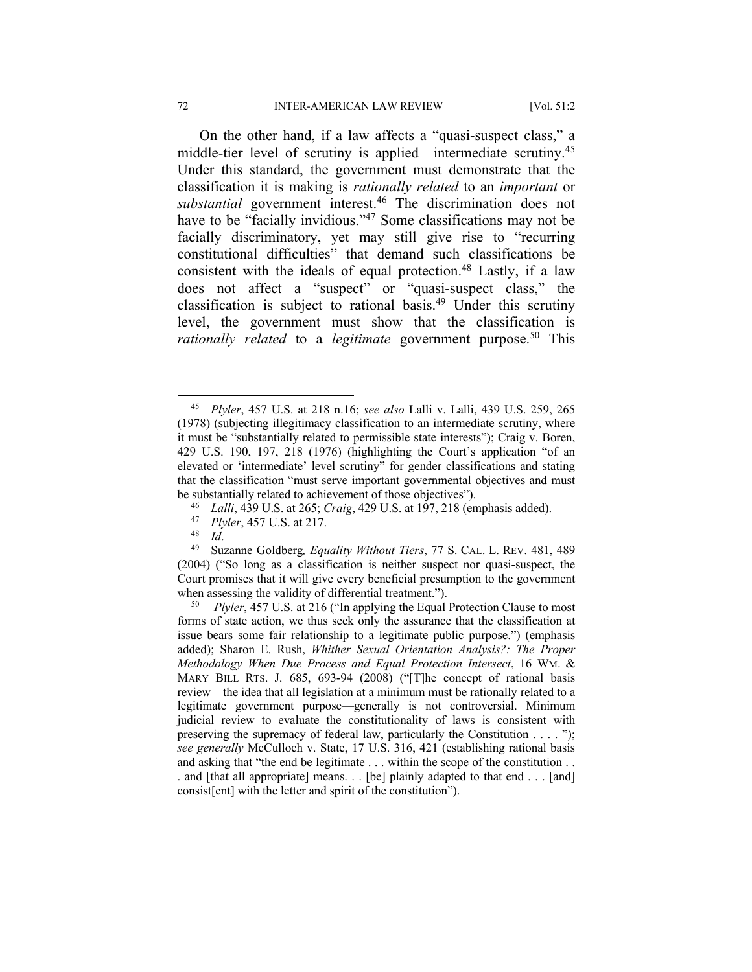On the other hand, if a law affects a "quasi-suspect class," a middle-tier level of scrutiny is applied—intermediate scrutiny.<sup>45</sup> Under this standard, the government must demonstrate that the classification it is making is *rationally related* to an *important* or *substantial* government interest.46 The discrimination does not have to be "facially invidious."<sup>47</sup> Some classifications may not be facially discriminatory, yet may still give rise to "recurring constitutional difficulties" that demand such classifications be consistent with the ideals of equal protection.<sup>48</sup> Lastly, if a law does not affect a "suspect" or "quasi-suspect class," the classification is subject to rational basis.49 Under this scrutiny level, the government must show that the classification is *rationally related* to a *legitimate* government purpose.<sup>50</sup> This

<sup>45</sup> *Plyler*, 457 U.S. at 218 n.16; *see also* Lalli v. Lalli, 439 U.S. 259, 265 (1978) (subjecting illegitimacy classification to an intermediate scrutiny, where it must be "substantially related to permissible state interests"); Craig v. Boren, 429 U.S. 190, 197, 218 (1976) (highlighting the Court's application "of an elevated or 'intermediate' level scrutiny" for gender classifications and stating that the classification "must serve important governmental objectives and must be substantially related to achievement of those objectives").

<sup>46</sup> *Lalli*, 439 U.S. at 265; *Craig*, 429 U.S. at 197, 218 (emphasis added).

<sup>47</sup> *Plyler*, 457 U.S. at 217.

<sup>48</sup> *Id*. 49 Suzanne Goldberg*, Equality Without Tiers*, 77 S. CAL. L. REV. 481, 489 (2004) ("So long as a classification is neither suspect nor quasi-suspect, the Court promises that it will give every beneficial presumption to the government when assessing the validity of differential treatment.").

*Plyler*, 457 U.S. at 216 ("In applying the Equal Protection Clause to most forms of state action, we thus seek only the assurance that the classification at issue bears some fair relationship to a legitimate public purpose.") (emphasis added); Sharon E. Rush, *Whither Sexual Orientation Analysis?: The Proper Methodology When Due Process and Equal Protection Intersect*, 16 WM. & MARY BILL RTS. J. 685, 693-94 (2008) ("[T]he concept of rational basis review—the idea that all legislation at a minimum must be rationally related to a legitimate government purpose—generally is not controversial. Minimum judicial review to evaluate the constitutionality of laws is consistent with preserving the supremacy of federal law, particularly the Constitution . . . . "); *see generally* McCulloch v. State, 17 U.S. 316, 421 (establishing rational basis and asking that "the end be legitimate . . . within the scope of the constitution . . . and [that all appropriate] means. . . [be] plainly adapted to that end . . . [and] consist[ent] with the letter and spirit of the constitution").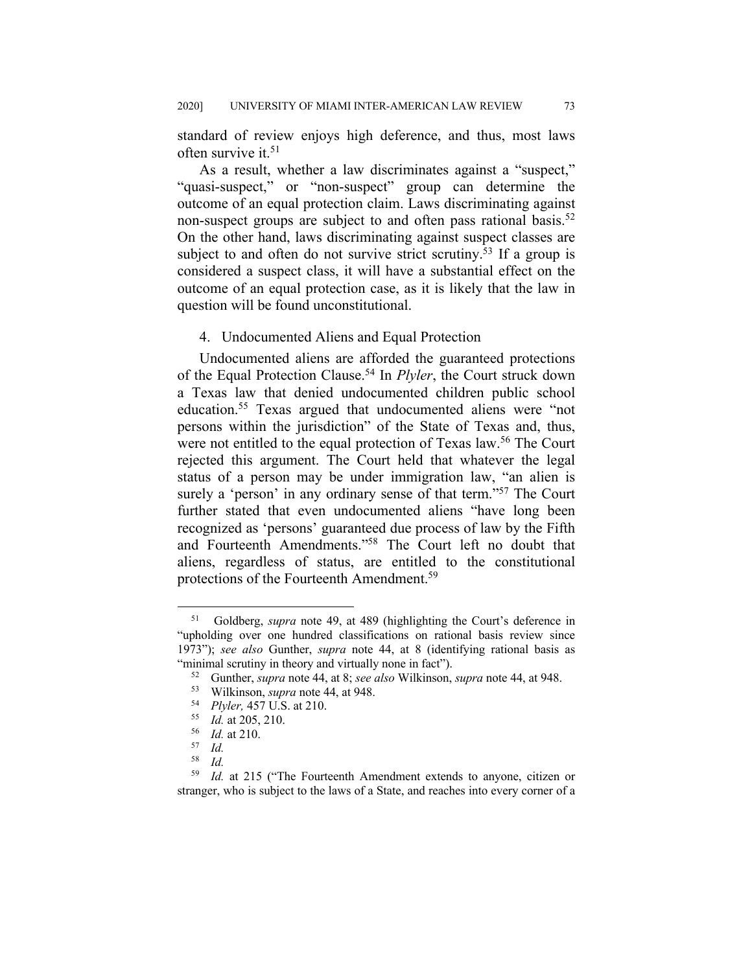standard of review enjoys high deference, and thus, most laws often survive it.<sup>51</sup>

As a result, whether a law discriminates against a "suspect," "quasi-suspect," or "non-suspect" group can determine the outcome of an equal protection claim. Laws discriminating against non-suspect groups are subject to and often pass rational basis.<sup>52</sup> On the other hand, laws discriminating against suspect classes are subject to and often do not survive strict scrutiny.<sup>53</sup> If a group is considered a suspect class, it will have a substantial effect on the outcome of an equal protection case, as it is likely that the law in question will be found unconstitutional.

#### 4. Undocumented Aliens and Equal Protection

Undocumented aliens are afforded the guaranteed protections of the Equal Protection Clause.54 In *Plyler*, the Court struck down a Texas law that denied undocumented children public school education.55 Texas argued that undocumented aliens were "not persons within the jurisdiction" of the State of Texas and, thus, were not entitled to the equal protection of Texas law.<sup>56</sup> The Court rejected this argument. The Court held that whatever the legal status of a person may be under immigration law, "an alien is surely a 'person' in any ordinary sense of that term."<sup>57</sup> The Court further stated that even undocumented aliens "have long been recognized as 'persons' guaranteed due process of law by the Fifth and Fourteenth Amendments."58 The Court left no doubt that aliens, regardless of status, are entitled to the constitutional protections of the Fourteenth Amendment.<sup>59</sup>

<sup>51</sup> Goldberg, *supra* note 49, at 489 (highlighting the Court's deference in "upholding over one hundred classifications on rational basis review since 1973"); *see also* Gunther, *supra* note 44, at 8 (identifying rational basis as "minimal scrutiny in theory and virtually none in fact").

<sup>52</sup> Gunther, *supra* note 44, at 8; *see also* Wilkinson, *supra* note 44, at 948.

<sup>&</sup>lt;sup>53</sup> Wilkinson, *supra* note 44, at 948.

<sup>54</sup> *Plyler,* 457 U.S. at 210. 55 *Id.* at 205, 210.

<sup>56</sup> *Id.* at 210. 57 *Id.*

 $\frac{58}{59}$  *Id.* 

Id. at 215 ("The Fourteenth Amendment extends to anyone, citizen or stranger, who is subject to the laws of a State, and reaches into every corner of a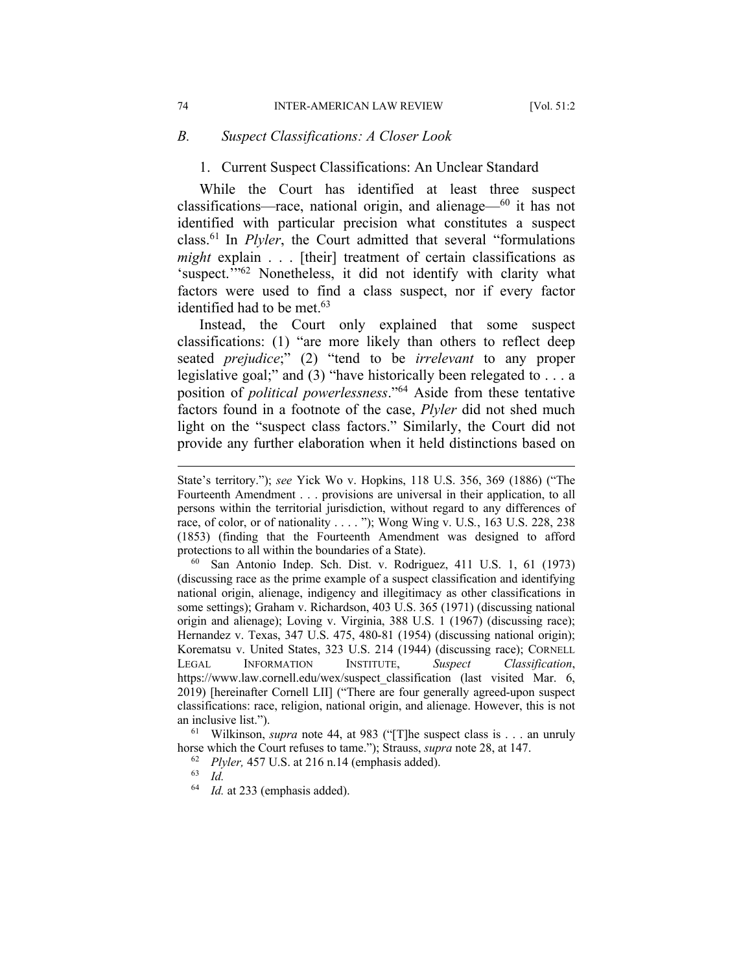#### *B. Suspect Classifications: A Closer Look*

#### 1. Current Suspect Classifications: An Unclear Standard

While the Court has identified at least three suspect classifications—race, national origin, and alienage— $60$  it has not identified with particular precision what constitutes a suspect class.61 In *Plyler*, the Court admitted that several "formulations *might* explain . . . [their] treatment of certain classifications as 'suspect.'"62 Nonetheless, it did not identify with clarity what factors were used to find a class suspect, nor if every factor identified had to be met.<sup>63</sup>

Instead, the Court only explained that some suspect classifications: (1) "are more likely than others to reflect deep seated *prejudice*;" (2) "tend to be *irrelevant* to any proper legislative goal;" and (3) "have historically been relegated to . . . a position of *political powerlessness*."64 Aside from these tentative factors found in a footnote of the case, *Plyler* did not shed much light on the "suspect class factors." Similarly, the Court did not provide any further elaboration when it held distinctions based on

<sup>60</sup> San Antonio Indep. Sch. Dist. v. Rodriguez, 411 U.S. 1, 61 (1973) (discussing race as the prime example of a suspect classification and identifying national origin, alienage, indigency and illegitimacy as other classifications in some settings); Graham v. Richardson, 403 U.S. 365 (1971) (discussing national origin and alienage); Loving v. Virginia, 388 U.S. 1 (1967) (discussing race); Hernandez v. Texas, 347 U.S. 475, 480-81 (1954) (discussing national origin); Korematsu v. United States, 323 U.S. 214 (1944) (discussing race); CORNELL LEGAL INFORMATION INSTITUTE, *Suspect Classification*, https://www.law.cornell.edu/wex/suspect\_classification (last visited Mar. 6, 2019) [hereinafter Cornell LII] ("There are four generally agreed-upon suspect classifications: race, religion, national origin, and alienage. However, this is not an inclusive list.").

<sup>61</sup> Wilkinson, *supra* note 44, at 983 ("[T]he suspect class is . . . an unruly horse which the Court refuses to tame."); Strauss, *supra* note 28, at 147.

State's territory."); *see* Yick Wo v. Hopkins, 118 U.S. 356, 369 (1886) ("The Fourteenth Amendment . . . provisions are universal in their application, to all persons within the territorial jurisdiction, without regard to any differences of race, of color, or of nationality . . . . "); Wong Wing v. U.S*.*, 163 U.S. 228, 238 (1853) (finding that the Fourteenth Amendment was designed to afford protections to all within the boundaries of a State).

<sup>62</sup> *Plyler,* 457 U.S. at 216 n.14 (emphasis added).

<sup>63</sup> *Id.*

<sup>64</sup> *Id.* at 233 (emphasis added).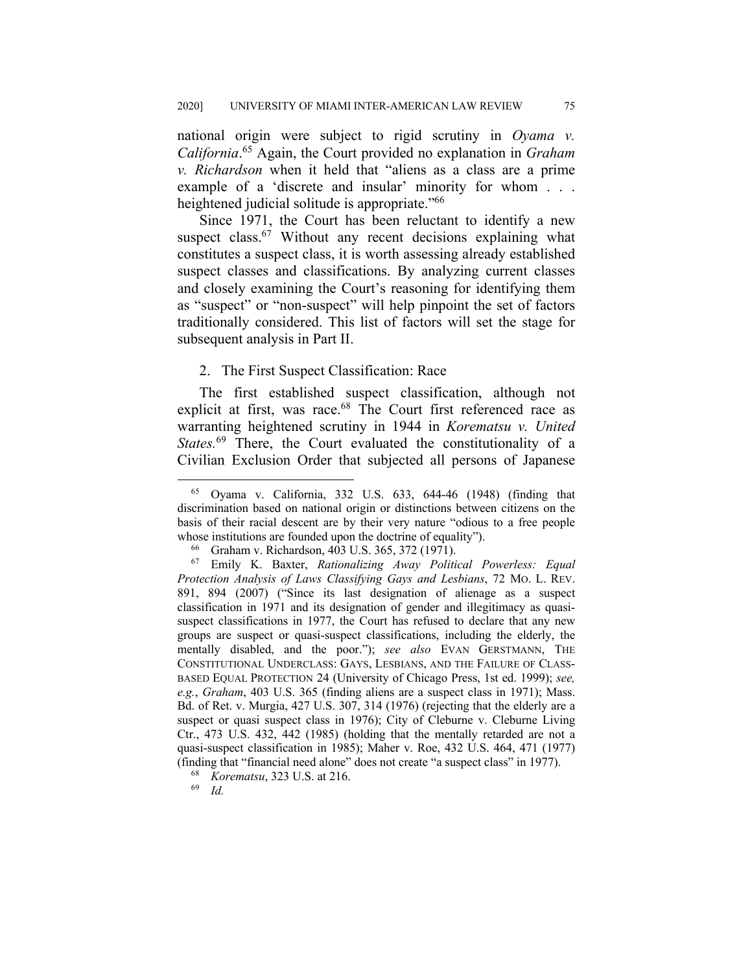national origin were subject to rigid scrutiny in *Oyama v. California*. <sup>65</sup> Again, the Court provided no explanation in *Graham v. Richardson* when it held that "aliens as a class are a prime example of a 'discrete and insular' minority for whom . . . heightened judicial solitude is appropriate."<sup>66</sup>

Since 1971, the Court has been reluctant to identify a new suspect class.<sup>67</sup> Without any recent decisions explaining what constitutes a suspect class, it is worth assessing already established suspect classes and classifications. By analyzing current classes and closely examining the Court's reasoning for identifying them as "suspect" or "non-suspect" will help pinpoint the set of factors traditionally considered. This list of factors will set the stage for subsequent analysis in Part II.

### 2. The First Suspect Classification: Race

The first established suspect classification, although not explicit at first, was race.<sup>68</sup> The Court first referenced race as warranting heightened scrutiny in 1944 in *Korematsu v. United States.*<sup>69</sup> There, the Court evaluated the constitutionality of a Civilian Exclusion Order that subjected all persons of Japanese

<sup>65</sup> Oyama v. California, 332 U.S. 633, 644-46 (1948) (finding that discrimination based on national origin or distinctions between citizens on the basis of their racial descent are by their very nature "odious to a free people whose institutions are founded upon the doctrine of equality").

<sup>66</sup> Graham v. Richardson, 403 U.S. 365, 372 (1971).

<sup>67</sup> Emily K. Baxter, *Rationalizing Away Political Powerless: Equal Protection Analysis of Laws Classifying Gays and Lesbians*, 72 MO. L. REV. 891, 894 (2007) ("Since its last designation of alienage as a suspect classification in 1971 and its designation of gender and illegitimacy as quasisuspect classifications in 1977, the Court has refused to declare that any new groups are suspect or quasi-suspect classifications, including the elderly, the mentally disabled, and the poor."); *see also* EVAN GERSTMANN, THE CONSTITUTIONAL UNDERCLASS: GAYS, LESBIANS, AND THE FAILURE OF CLASS-BASED EQUAL PROTECTION 24 (University of Chicago Press, 1st ed. 1999); *see, e.g.*, *Graham*, 403 U.S. 365 (finding aliens are a suspect class in 1971); Mass. Bd. of Ret. v. Murgia, 427 U.S. 307, 314 (1976) (rejecting that the elderly are a suspect or quasi suspect class in 1976); City of Cleburne v. Cleburne Living Ctr., 473 U.S. 432, 442 (1985) (holding that the mentally retarded are not a quasi-suspect classification in 1985); Maher v. Roe, 432 U.S. 464, 471 (1977) (finding that "financial need alone" does not create "a suspect class" in 1977).

<sup>68</sup> *Korematsu*, 323 U.S. at 216.

<sup>69</sup> *Id.*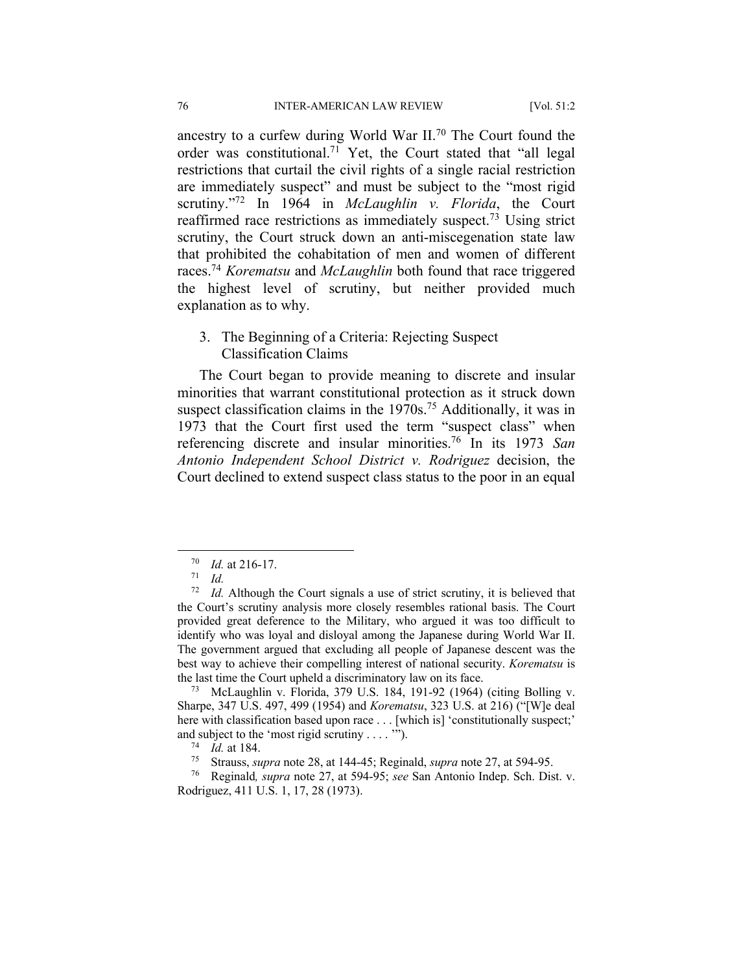ancestry to a curfew during World War II.70 The Court found the order was constitutional.71 Yet, the Court stated that "all legal restrictions that curtail the civil rights of a single racial restriction are immediately suspect" and must be subject to the "most rigid scrutiny."72 In 1964 in *McLaughlin v. Florida*, the Court reaffirmed race restrictions as immediately suspect.<sup>73</sup> Using strict scrutiny, the Court struck down an anti-miscegenation state law that prohibited the cohabitation of men and women of different races.74 *Korematsu* and *McLaughlin* both found that race triggered the highest level of scrutiny, but neither provided much explanation as to why.

## 3. The Beginning of a Criteria: Rejecting Suspect Classification Claims

The Court began to provide meaning to discrete and insular minorities that warrant constitutional protection as it struck down suspect classification claims in the 1970s.<sup>75</sup> Additionally, it was in 1973 that the Court first used the term "suspect class" when referencing discrete and insular minorities.76 In its 1973 *San Antonio Independent School District v. Rodriguez* decision, the Court declined to extend suspect class status to the poor in an equal

 $\frac{70}{71}$  *Id.* at 216-17.

<sup>71</sup> *Id.*

<sup>72</sup> *Id.* Although the Court signals a use of strict scrutiny, it is believed that the Court's scrutiny analysis more closely resembles rational basis. The Court provided great deference to the Military, who argued it was too difficult to identify who was loyal and disloyal among the Japanese during World War II. The government argued that excluding all people of Japanese descent was the best way to achieve their compelling interest of national security. *Korematsu* is the last time the Court upheld a discriminatory law on its face.

<sup>73</sup> McLaughlin v. Florida, 379 U.S. 184, 191-92 (1964) (citing Bolling v. Sharpe, 347 U.S. 497, 499 (1954) and *Korematsu*, 323 U.S. at 216) ("[W]e deal here with classification based upon race . . . [which is] 'constitutionally suspect;' and subject to the 'most rigid scrutiny . . . . "").<br><sup>74</sup> Id. at 184.

<sup>&</sup>lt;sup>75</sup> Strauss, *supra* note 28, at 144-45; Reginald, *supra* note 27, at 594-95.

<sup>76</sup> Reginald*, supra* note 27, at 594-95; *see* San Antonio Indep. Sch. Dist. v. Rodriguez, 411 U.S. 1, 17, 28 (1973).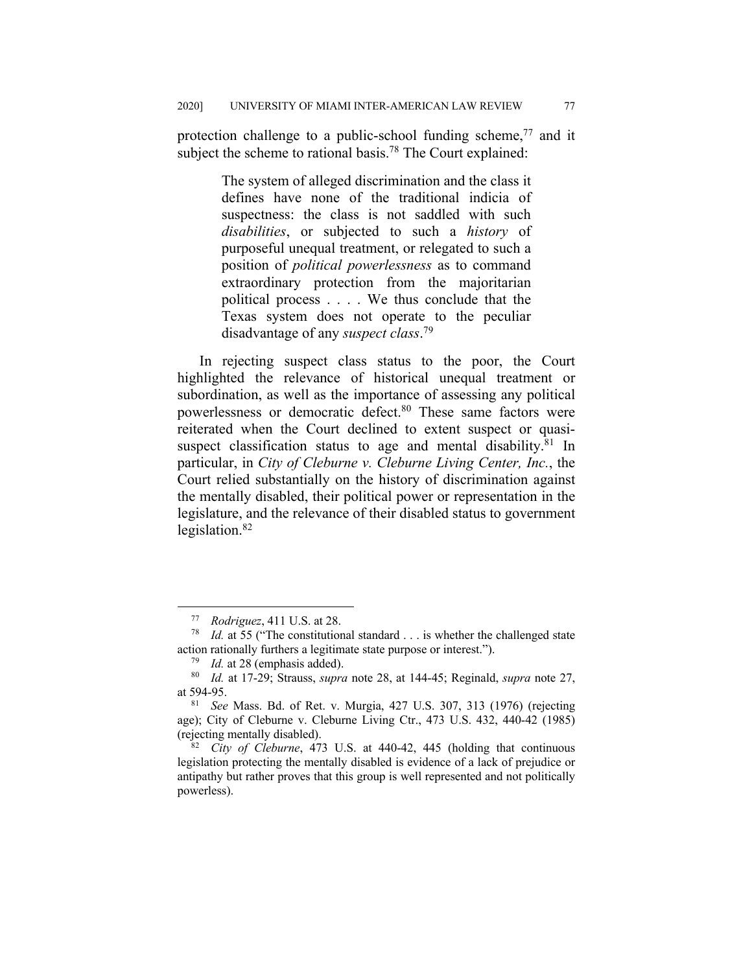protection challenge to a public-school funding scheme,<sup>77</sup> and it subject the scheme to rational basis.<sup>78</sup> The Court explained:

> The system of alleged discrimination and the class it defines have none of the traditional indicia of suspectness: the class is not saddled with such *disabilities*, or subjected to such a *history* of purposeful unequal treatment, or relegated to such a position of *political powerlessness* as to command extraordinary protection from the majoritarian political process . . . . We thus conclude that the Texas system does not operate to the peculiar disadvantage of any *suspect class*. 79

In rejecting suspect class status to the poor, the Court highlighted the relevance of historical unequal treatment or subordination, as well as the importance of assessing any political powerlessness or democratic defect.<sup>80</sup> These same factors were reiterated when the Court declined to extent suspect or quasisuspect classification status to age and mental disability.<sup>81</sup> In particular, in *City of Cleburne v. Cleburne Living Center, Inc.*, the Court relied substantially on the history of discrimination against the mentally disabled, their political power or representation in the legislature, and the relevance of their disabled status to government legislation.82

<sup>77</sup> *Rodriguez*, 411 U.S. at 28.

<sup>78</sup> *Id.* at 55 ("The constitutional standard . . . is whether the challenged state action rationally furthers a legitimate state purpose or interest.").

<sup>79</sup> *Id.* at 28 (emphasis added).

<sup>80</sup> *Id.* at 17-29; Strauss, *supra* note 28, at 144-45; Reginald, *supra* note 27, at 594-95.

<sup>81</sup> *See* Mass. Bd. of Ret. v. Murgia, 427 U.S. 307, 313 (1976) (rejecting age); City of Cleburne v. Cleburne Living Ctr., 473 U.S. 432, 440-42 (1985) (rejecting mentally disabled).

<sup>82</sup> *City of Cleburne*, 473 U.S. at 440-42, 445 (holding that continuous legislation protecting the mentally disabled is evidence of a lack of prejudice or antipathy but rather proves that this group is well represented and not politically powerless).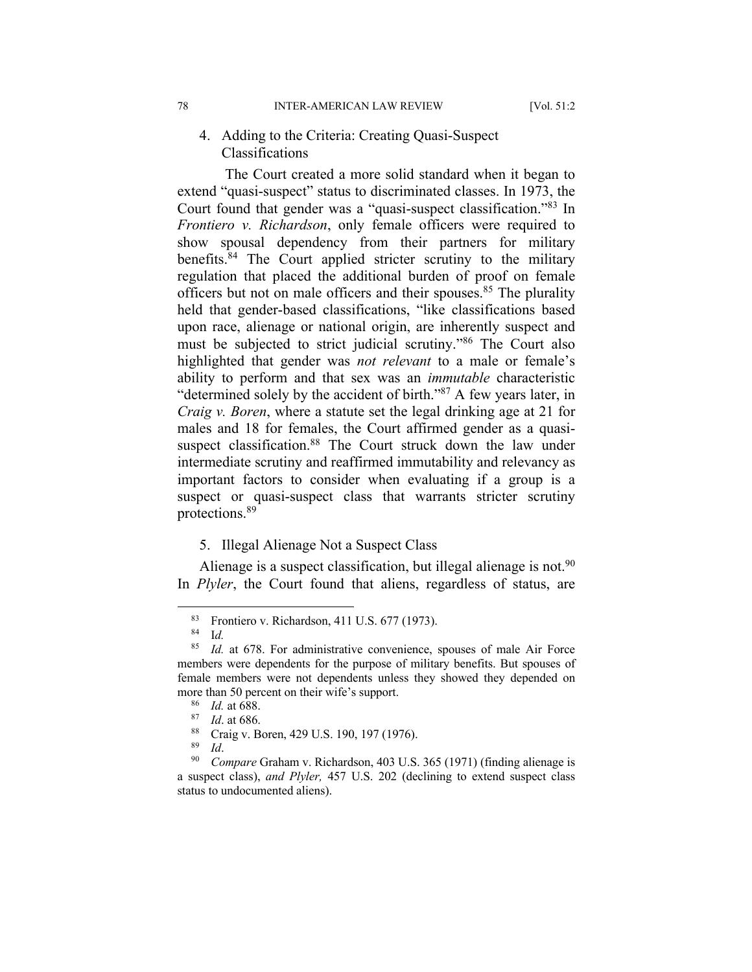## 4. Adding to the Criteria: Creating Quasi-Suspect Classifications

The Court created a more solid standard when it began to extend "quasi-suspect" status to discriminated classes. In 1973, the Court found that gender was a "quasi-suspect classification."83 In *Frontiero v. Richardson*, only female officers were required to show spousal dependency from their partners for military benefits.84 The Court applied stricter scrutiny to the military regulation that placed the additional burden of proof on female officers but not on male officers and their spouses.<sup>85</sup> The plurality held that gender-based classifications, "like classifications based upon race, alienage or national origin, are inherently suspect and must be subjected to strict judicial scrutiny."86 The Court also highlighted that gender was *not relevant* to a male or female's ability to perform and that sex was an *immutable* characteristic "determined solely by the accident of birth."87 A few years later, in *Craig v. Boren*, where a statute set the legal drinking age at 21 for males and 18 for females, the Court affirmed gender as a quasisuspect classification.<sup>88</sup> The Court struck down the law under intermediate scrutiny and reaffirmed immutability and relevancy as important factors to consider when evaluating if a group is a suspect or quasi-suspect class that warrants stricter scrutiny protections.89

#### 5. Illegal Alienage Not a Suspect Class

Alienage is a suspect classification, but illegal alienage is not. $90$ In *Plyler*, the Court found that aliens, regardless of status, are

<sup>&</sup>lt;sup>83</sup> Frontiero v. Richardson, 411 U.S. 677 (1973).

 $rac{84}{85}$  *Id.* 

Id. at 678. For administrative convenience, spouses of male Air Force members were dependents for the purpose of military benefits. But spouses of female members were not dependents unless they showed they depended on more than 50 percent on their wife's support.

<sup>&</sup>lt;sup>86</sup> *Id.* at 688.<br><sup>87</sup> *Id.* at 686

 $\frac{87}{88}$  *Id.* at 686.

<sup>&</sup>lt;sup>88</sup> Craig v. Boren, 429 U.S. 190, 197 (1976).

 $\frac{89}{90}$  *Id.* 

Compare Graham v. Richardson, 403 U.S. 365 (1971) (finding alienage is a suspect class), *and Plyler,* 457 U.S. 202 (declining to extend suspect class status to undocumented aliens).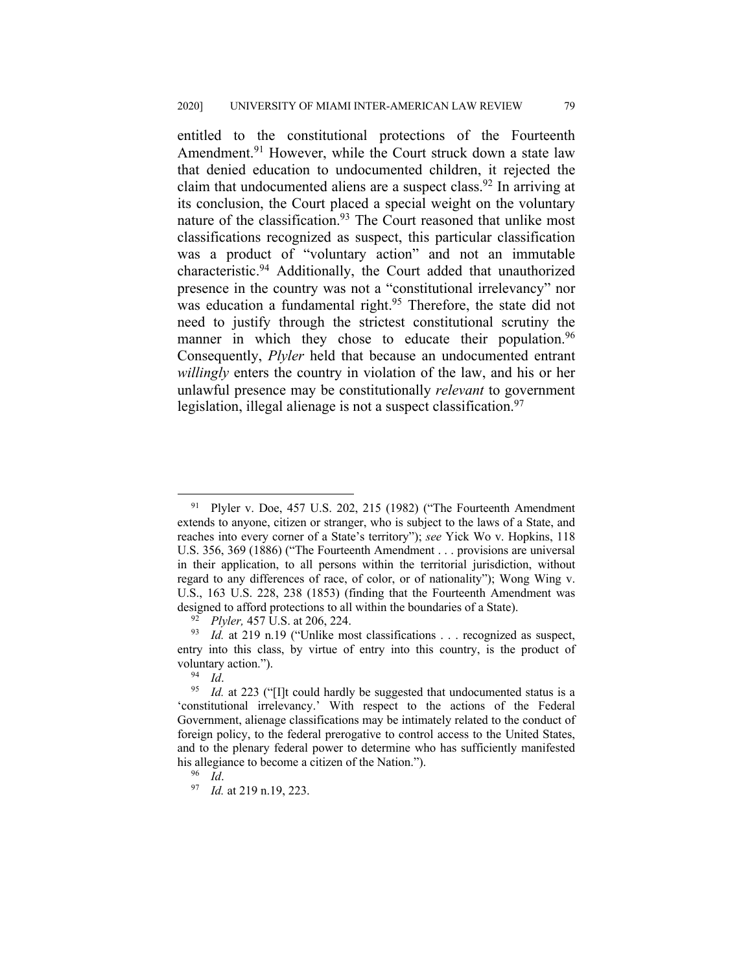entitled to the constitutional protections of the Fourteenth Amendment.<sup>91</sup> However, while the Court struck down a state law that denied education to undocumented children, it rejected the claim that undocumented aliens are a suspect class.<sup>92</sup> In arriving at its conclusion, the Court placed a special weight on the voluntary nature of the classification.<sup>93</sup> The Court reasoned that unlike most classifications recognized as suspect, this particular classification was a product of "voluntary action" and not an immutable characteristic.94 Additionally, the Court added that unauthorized presence in the country was not a "constitutional irrelevancy" nor was education a fundamental right.<sup>95</sup> Therefore, the state did not need to justify through the strictest constitutional scrutiny the manner in which they chose to educate their population.<sup>96</sup> Consequently, *Plyler* held that because an undocumented entrant *willingly* enters the country in violation of the law, and his or her unlawful presence may be constitutionally *relevant* to government legislation, illegal alienage is not a suspect classification.<sup>97</sup>

 $91$  Plyler v. Doe, 457 U.S. 202, 215 (1982) ("The Fourteenth Amendment" extends to anyone, citizen or stranger, who is subject to the laws of a State, and reaches into every corner of a State's territory"); *see* Yick Wo v. Hopkins, 118 U.S. 356, 369 (1886) ("The Fourteenth Amendment . . . provisions are universal in their application, to all persons within the territorial jurisdiction, without regard to any differences of race, of color, or of nationality"); Wong Wing v. U.S., 163 U.S. 228, 238 (1853) (finding that the Fourteenth Amendment was designed to afford protections to all within the boundaries of a State).

<sup>92</sup> *Plyler,* 457 U.S. at 206, 224.

<sup>&</sup>lt;sup>93</sup> *Id.* at 219 n.19 ("Unlike most classifications . . . recognized as suspect, entry into this class, by virtue of entry into this country, is the product of voluntary action.").

<sup>94</sup> *Id*.

<sup>&</sup>lt;sup>95</sup> *Id.* at 223 ("[I]t could hardly be suggested that undocumented status is a 'constitutional irrelevancy.' With respect to the actions of the Federal Government, alienage classifications may be intimately related to the conduct of foreign policy, to the federal prerogative to control access to the United States, and to the plenary federal power to determine who has sufficiently manifested his allegiance to become a citizen of the Nation.").<br> $\frac{96}{1}$  *M*.

<sup>&</sup>lt;sup>97</sup> *Id.* at 219 n.19, 223.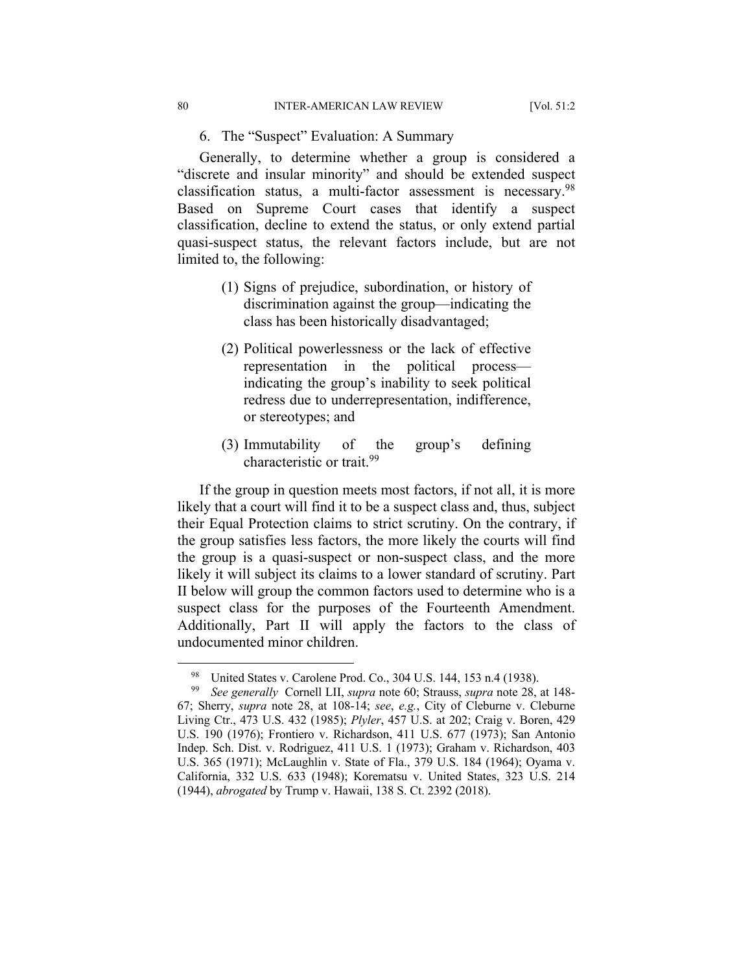6. The "Suspect" Evaluation: A Summary

Generally, to determine whether a group is considered a "discrete and insular minority" and should be extended suspect classification status, a multi-factor assessment is necessary.98 Based on Supreme Court cases that identify a suspect classification, decline to extend the status, or only extend partial quasi-suspect status, the relevant factors include, but are not limited to, the following:

- (1) Signs of prejudice, subordination, or history of discrimination against the group—indicating the class has been historically disadvantaged;
- (2) Political powerlessness or the lack of effective representation in the political process indicating the group's inability to seek political redress due to underrepresentation, indifference, or stereotypes; and
- (3) Immutability of the group's defining characteristic or trait.99

If the group in question meets most factors, if not all, it is more likely that a court will find it to be a suspect class and, thus, subject their Equal Protection claims to strict scrutiny. On the contrary, if the group satisfies less factors, the more likely the courts will find the group is a quasi-suspect or non-suspect class, and the more likely it will subject its claims to a lower standard of scrutiny. Part II below will group the common factors used to determine who is a suspect class for the purposes of the Fourteenth Amendment. Additionally, Part II will apply the factors to the class of undocumented minor children.

<sup>&</sup>lt;sup>98</sup> United States v. Carolene Prod. Co., 304 U.S. 144, 153 n.4 (1938).<br><sup>99</sup> See generally Cornell LIL supra note 60: Strauss, supra note 28.

<sup>99</sup> *See generally* Cornell LII, *supra* note 60; Strauss, *supra* note 28, at 148- 67; Sherry, *supra* note 28, at 108-14; *see*, *e.g.*, City of Cleburne v. Cleburne Living Ctr., 473 U.S. 432 (1985); *Plyler*, 457 U.S. at 202; Craig v. Boren, 429 U.S. 190 (1976); Frontiero v. Richardson, 411 U.S. 677 (1973); San Antonio Indep. Sch. Dist. v. Rodriguez, 411 U.S. 1 (1973); Graham v. Richardson, 403 U.S. 365 (1971); McLaughlin v. State of Fla., 379 U.S. 184 (1964); Oyama v. California, 332 U.S. 633 (1948); Korematsu v. United States, 323 U.S. 214 (1944), *abrogated* by Trump v. Hawaii, 138 S. Ct. 2392 (2018).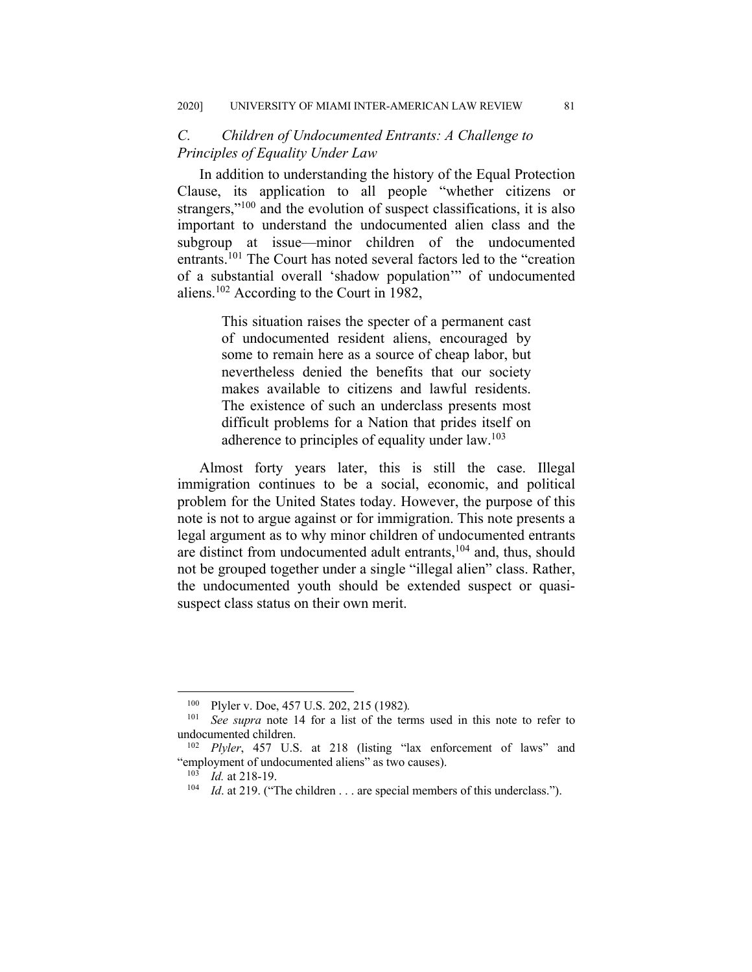## *C. Children of Undocumented Entrants: A Challenge to Principles of Equality Under Law*

In addition to understanding the history of the Equal Protection Clause, its application to all people "whether citizens or strangers,"<sup>100</sup> and the evolution of suspect classifications, it is also important to understand the undocumented alien class and the subgroup at issue—minor children of the undocumented entrants.101 The Court has noted several factors led to the "creation of a substantial overall 'shadow population'" of undocumented aliens.102 According to the Court in 1982,

> This situation raises the specter of a permanent cast of undocumented resident aliens, encouraged by some to remain here as a source of cheap labor, but nevertheless denied the benefits that our society makes available to citizens and lawful residents. The existence of such an underclass presents most difficult problems for a Nation that prides itself on adherence to principles of equality under law.<sup>103</sup>

Almost forty years later, this is still the case. Illegal immigration continues to be a social, economic, and political problem for the United States today. However, the purpose of this note is not to argue against or for immigration. This note presents a legal argument as to why minor children of undocumented entrants are distinct from undocumented adult entrants,<sup>104</sup> and, thus, should not be grouped together under a single "illegal alien" class. Rather, the undocumented youth should be extended suspect or quasisuspect class status on their own merit.

<sup>100</sup> Plyler v. Doe, 457 U.S. 202, 215 (1982)*.*

See supra note 14 for a list of the terms used in this note to refer to undocumented children.

<sup>102</sup> *Plyler*, 457 U.S. at 218 (listing "lax enforcement of laws" and "employment of undocumented aliens" as two causes).

<sup>103</sup> *Id.* at 218-19.

<sup>&</sup>lt;sup>104</sup> *Id.* at 219. ("The children . . . are special members of this underclass.").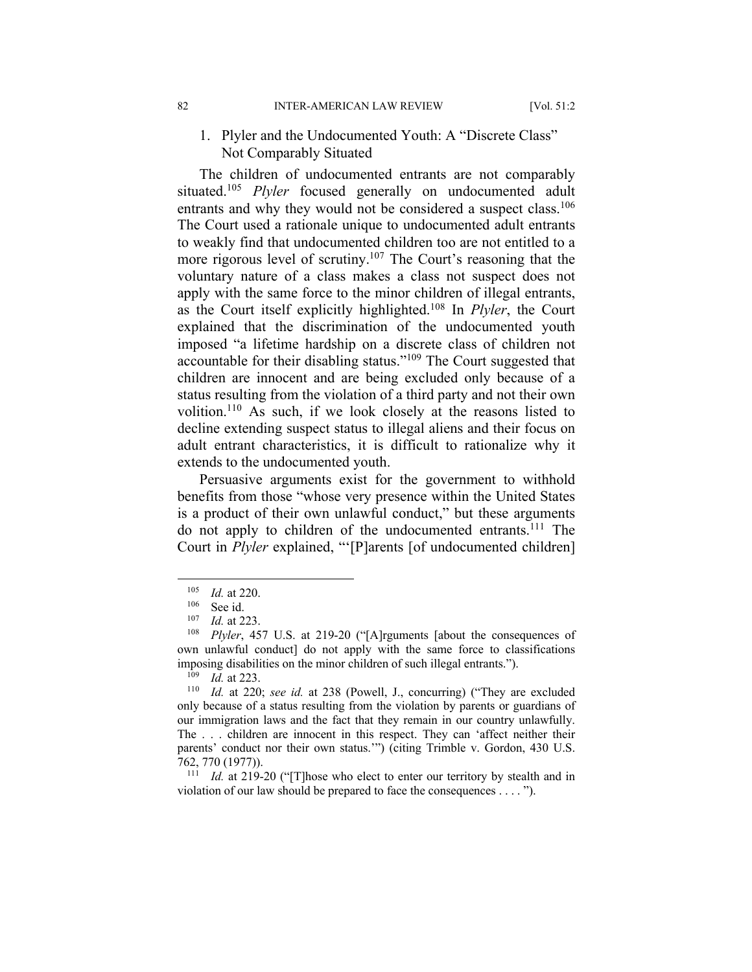## 1. Plyler and the Undocumented Youth: A "Discrete Class" Not Comparably Situated

The children of undocumented entrants are not comparably situated.105 *Plyler* focused generally on undocumented adult entrants and why they would not be considered a suspect class.<sup>106</sup> The Court used a rationale unique to undocumented adult entrants to weakly find that undocumented children too are not entitled to a more rigorous level of scrutiny.107 The Court's reasoning that the voluntary nature of a class makes a class not suspect does not apply with the same force to the minor children of illegal entrants, as the Court itself explicitly highlighted.108 In *Plyler*, the Court explained that the discrimination of the undocumented youth imposed "a lifetime hardship on a discrete class of children not accountable for their disabling status."109 The Court suggested that children are innocent and are being excluded only because of a status resulting from the violation of a third party and not their own volition.110 As such, if we look closely at the reasons listed to decline extending suspect status to illegal aliens and their focus on adult entrant characteristics, it is difficult to rationalize why it extends to the undocumented youth.

Persuasive arguments exist for the government to withhold benefits from those "whose very presence within the United States is a product of their own unlawful conduct," but these arguments do not apply to children of the undocumented entrants.<sup>111</sup> The Court in *Plyler* explained, "'[P]arents [of undocumented children]

<sup>111</sup> *Id.* at 219-20 ("[T]hose who elect to enter our territory by stealth and in violation of our law should be prepared to face the consequences . . . . ").

 $\frac{105}{106}$  *Id.* at 220.

 $\frac{106}{107}$  See id.

 $\frac{107}{108}$  *Id.* at 223.

Plyler, 457 U.S. at 219-20 ("[A]rguments [about the consequences of own unlawful conduct] do not apply with the same force to classifications imposing disabilities on the minor children of such illegal entrants.").

<sup>&</sup>lt;sup>109</sup> *Id.* at 223.<br><sup>110</sup> *Id.* at 220

Id. at 220; see id. at 238 (Powell, J., concurring) ("They are excluded only because of a status resulting from the violation by parents or guardians of our immigration laws and the fact that they remain in our country unlawfully. The . . . children are innocent in this respect. They can 'affect neither their parents' conduct nor their own status.'") (citing Trimble v. Gordon, 430 U.S. 762, 770 (1977)).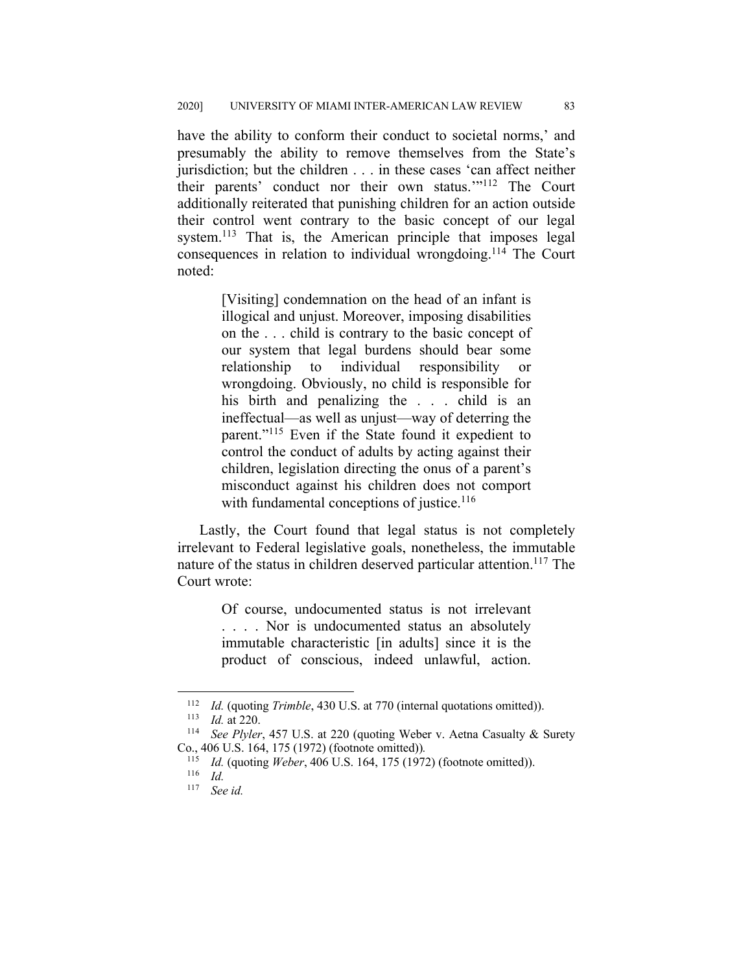have the ability to conform their conduct to societal norms,' and presumably the ability to remove themselves from the State's jurisdiction; but the children . . . in these cases 'can affect neither their parents' conduct nor their own status.'"112 The Court additionally reiterated that punishing children for an action outside their control went contrary to the basic concept of our legal system.<sup>113</sup> That is, the American principle that imposes legal consequences in relation to individual wrongdoing.114 The Court noted:

> [Visiting] condemnation on the head of an infant is illogical and unjust. Moreover, imposing disabilities on the . . . child is contrary to the basic concept of our system that legal burdens should bear some relationship to individual responsibility or wrongdoing. Obviously, no child is responsible for his birth and penalizing the . . . child is an ineffectual—as well as unjust—way of deterring the parent."<sup>115</sup> Even if the State found it expedient to control the conduct of adults by acting against their children, legislation directing the onus of a parent's misconduct against his children does not comport with fundamental conceptions of justice. $116$

Lastly, the Court found that legal status is not completely irrelevant to Federal legislative goals, nonetheless, the immutable nature of the status in children deserved particular attention.<sup>117</sup> The Court wrote:

> Of course, undocumented status is not irrelevant . . . . Nor is undocumented status an absolutely immutable characteristic [in adults] since it is the product of conscious, indeed unlawful, action.

<sup>&</sup>lt;sup>112</sup> *Id.* (quoting *Trimble*, 430 U.S. at 770 (internal quotations omitted)).

<sup>113</sup> *Id.* at 220.

See Plyler, 457 U.S. at 220 (quoting Weber v. Aetna Casualty & Surety Co., 406 U.S. 164, 175 (1972) (footnote omitted))*.*

<sup>115</sup> *Id.* (quoting *Weber*, 406 U.S. 164, 175 (1972) (footnote omitted)).

<sup>116</sup> *Id.*

<sup>117</sup> *See id.*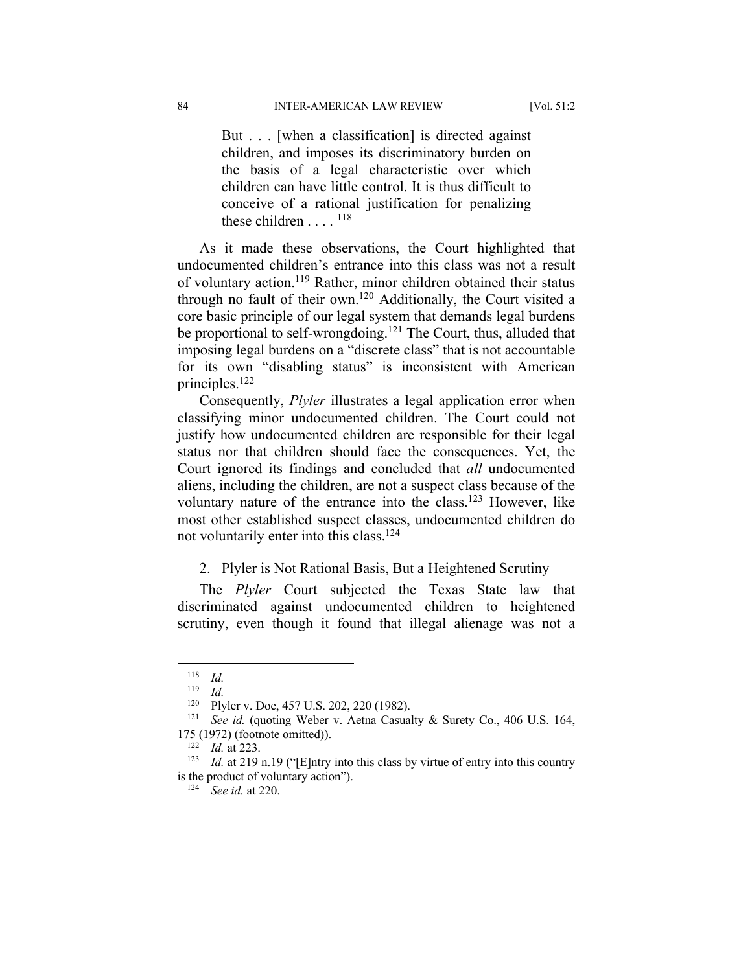But . . . [when a classification] is directed against children, and imposes its discriminatory burden on the basis of a legal characteristic over which children can have little control. It is thus difficult to conceive of a rational justification for penalizing these children  $\dots$ . <sup>118</sup>

As it made these observations, the Court highlighted that undocumented children's entrance into this class was not a result of voluntary action.<sup>119</sup> Rather, minor children obtained their status through no fault of their own.120 Additionally, the Court visited a core basic principle of our legal system that demands legal burdens be proportional to self-wrongdoing.<sup>121</sup> The Court, thus, alluded that imposing legal burdens on a "discrete class" that is not accountable for its own "disabling status" is inconsistent with American principles.122

Consequently, *Plyler* illustrates a legal application error when classifying minor undocumented children. The Court could not justify how undocumented children are responsible for their legal status nor that children should face the consequences. Yet, the Court ignored its findings and concluded that *all* undocumented aliens, including the children, are not a suspect class because of the voluntary nature of the entrance into the class.123 However, like most other established suspect classes, undocumented children do not voluntarily enter into this class.<sup>124</sup>

#### 2. Plyler is Not Rational Basis, But a Heightened Scrutiny

The *Plyler* Court subjected the Texas State law that discriminated against undocumented children to heightened scrutiny, even though it found that illegal alienage was not a

<sup>118</sup> *Id.*

 $\frac{119}{120}$  *Id.* 

Plyler v. Doe, 457 U.S. 202, 220 (1982).

<sup>&</sup>lt;sup>121</sup> *See id.* (quoting Weber v. Aetna Casualty & Surety Co., 406 U.S. 164, 175 (1972) (footnote omitted)).

<sup>122</sup> *Id.* at 223.

<sup>&</sup>lt;sup>123</sup> *Id.* at 219 n.19 ("[E]ntry into this class by virtue of entry into this country is the product of voluntary action").

<sup>124</sup> *See id.* at 220.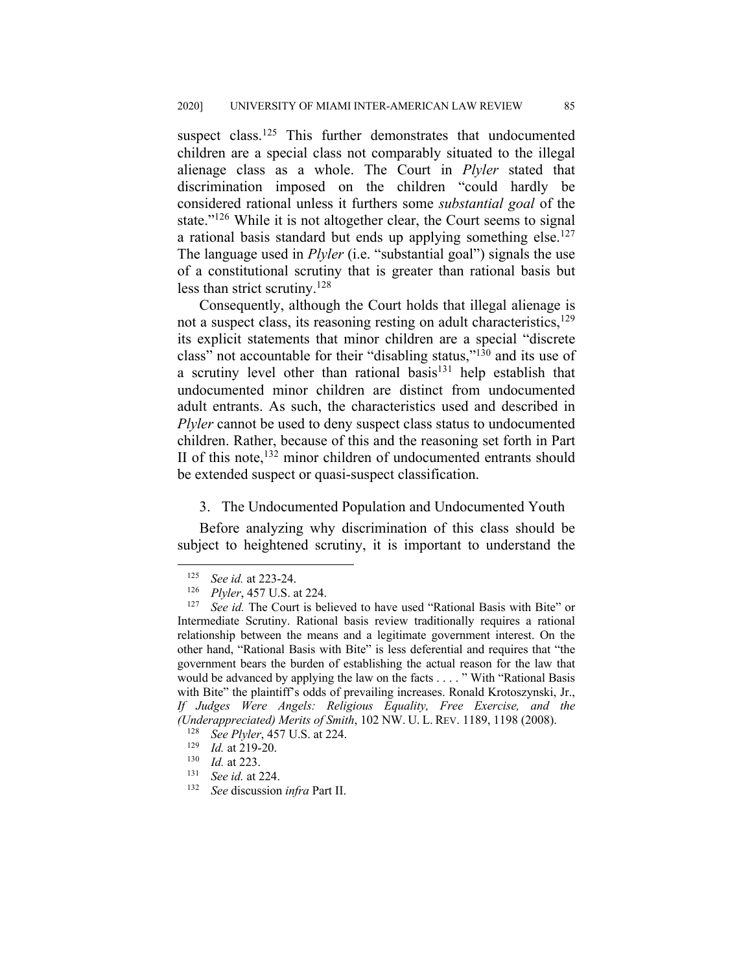suspect class.<sup>125</sup> This further demonstrates that undocumented children are a special class not comparably situated to the illegal alienage class as a whole. The Court in *Plyler* stated that discrimination imposed on the children "could hardly be considered rational unless it furthers some *substantial goal* of the state."126 While it is not altogether clear, the Court seems to signal a rational basis standard but ends up applying something else.<sup>127</sup> The language used in *Plyler* (i.e. "substantial goal") signals the use of a constitutional scrutiny that is greater than rational basis but less than strict scrutiny.128

Consequently, although the Court holds that illegal alienage is not a suspect class, its reasoning resting on adult characteristics, $129$ its explicit statements that minor children are a special "discrete class" not accountable for their "disabling status,"130 and its use of a scrutiny level other than rational basis<sup>131</sup> help establish that undocumented minor children are distinct from undocumented adult entrants. As such, the characteristics used and described in *Plyler* cannot be used to deny suspect class status to undocumented children. Rather, because of this and the reasoning set forth in Part II of this note,<sup>132</sup> minor children of undocumented entrants should be extended suspect or quasi-suspect classification.

#### 3. The Undocumented Population and Undocumented Youth

Before analyzing why discrimination of this class should be subject to heightened scrutiny, it is important to understand the

<sup>&</sup>lt;sup>125</sup> *See id.* at 223-24.

<sup>&</sup>lt;sup>126</sup> *Plyler*, 457 U.S. at 224.

See id. The Court is believed to have used "Rational Basis with Bite" or Intermediate Scrutiny. Rational basis review traditionally requires a rational relationship between the means and a legitimate government interest. On the other hand, "Rational Basis with Bite" is less deferential and requires that "the government bears the burden of establishing the actual reason for the law that would be advanced by applying the law on the facts . . . . " With "Rational Basis with Bite" the plaintiff's odds of prevailing increases. Ronald Krotoszynski, Jr., *If Judges Were Angels: Religious Equality, Free Exercise, and the (Underappreciated) Merits of Smith*, 102 NW. U. L. REV. 1189, 1198 (2008).

<sup>&</sup>lt;sup>128</sup> *See Plyler*, 457 U.S. at 224.<br><sup>129</sup> *Le* at 219-20

 $\frac{129}{130}$  *Id.* at 219-20.

<sup>&</sup>lt;sup>130</sup> *Id.* at 223.<br><sup>131</sup> *See id.* at 2

See id. at 224.

<sup>132</sup> *See* discussion *infra* Part II.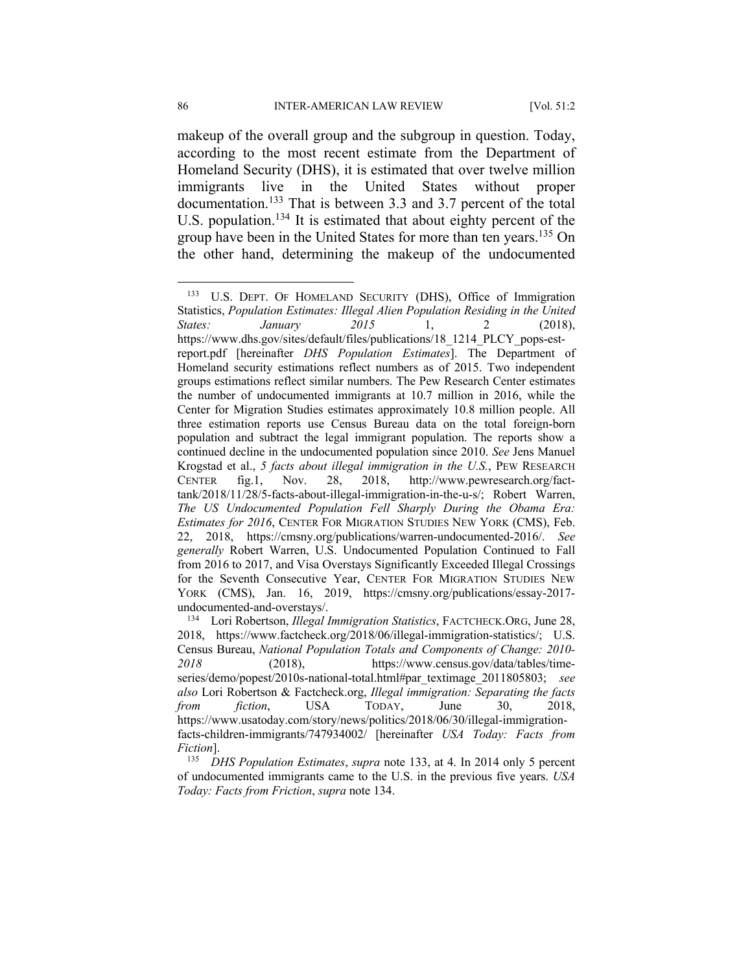makeup of the overall group and the subgroup in question. Today, according to the most recent estimate from the Department of Homeland Security (DHS), it is estimated that over twelve million immigrants live in the United States without proper documentation.<sup>133</sup> That is between 3.3 and 3.7 percent of the total U.S. population.<sup>134</sup> It is estimated that about eighty percent of the group have been in the United States for more than ten years.<sup>135</sup> On the other hand, determining the makeup of the undocumented

<sup>&</sup>lt;sup>133</sup> U.S. DEPT. OF HOMELAND SECURITY (DHS), Office of Immigration Statistics, *Population Estimates: Illegal Alien Population Residing in the United States: January 2015* 1, 2 (2018), https://www.dhs.gov/sites/default/files/publications/18\_1214\_PLCY\_pops-estreport.pdf [hereinafter *DHS Population Estimates*]. The Department of Homeland security estimations reflect numbers as of 2015. Two independent groups estimations reflect similar numbers. The Pew Research Center estimates the number of undocumented immigrants at 10.7 million in 2016, while the Center for Migration Studies estimates approximately 10.8 million people. All three estimation reports use Census Bureau data on the total foreign-born population and subtract the legal immigrant population. The reports show a continued decline in the undocumented population since 2010. *See* Jens Manuel Krogstad et al., *5 facts about illegal immigration in the U.S.*, PEW RESEARCH CENTER fig.1, Nov. 28, 2018, http://www.pewresearch.org/facttank/2018/11/28/5-facts-about-illegal-immigration-in-the-u-s/; Robert Warren, *The US Undocumented Population Fell Sharply During the Obama Era: Estimates for 2016*, CENTER FOR MIGRATION STUDIES NEW YORK (CMS), Feb. 22, 2018, https://cmsny.org/publications/warren-undocumented-2016/. *See generally* Robert Warren, U.S. Undocumented Population Continued to Fall from 2016 to 2017, and Visa Overstays Significantly Exceeded Illegal Crossings for the Seventh Consecutive Year, CENTER FOR MIGRATION STUDIES NEW YORK (CMS), Jan. 16, 2019, https://cmsny.org/publications/essay-2017 undocumented-and-overstays/.

<sup>134</sup> Lori Robertson, *Illegal Immigration Statistics*, FACTCHECK.ORG, June 28, 2018, https://www.factcheck.org/2018/06/illegal-immigration-statistics/; U.S. Census Bureau, *National Population Totals and Components of Change: 2010- 2018* (2018), https://www.census.gov/data/tables/timeseries/demo/popest/2010s-national-total.html#par\_textimage\_2011805803; *see also* Lori Robertson & Factcheck.org, *Illegal immigration: Separating the facts from fiction*, USA TODAY, June 30, 2018, https://www.usatoday.com/story/news/politics/2018/06/30/illegal-immigrationfacts-children-immigrants/747934002/ [hereinafter *USA Today: Facts from Fiction*].

<sup>135</sup> *DHS Population Estimates*, *supra* note 133, at 4. In 2014 only 5 percent of undocumented immigrants came to the U.S. in the previous five years. *USA Today: Facts from Friction*, *supra* note 134.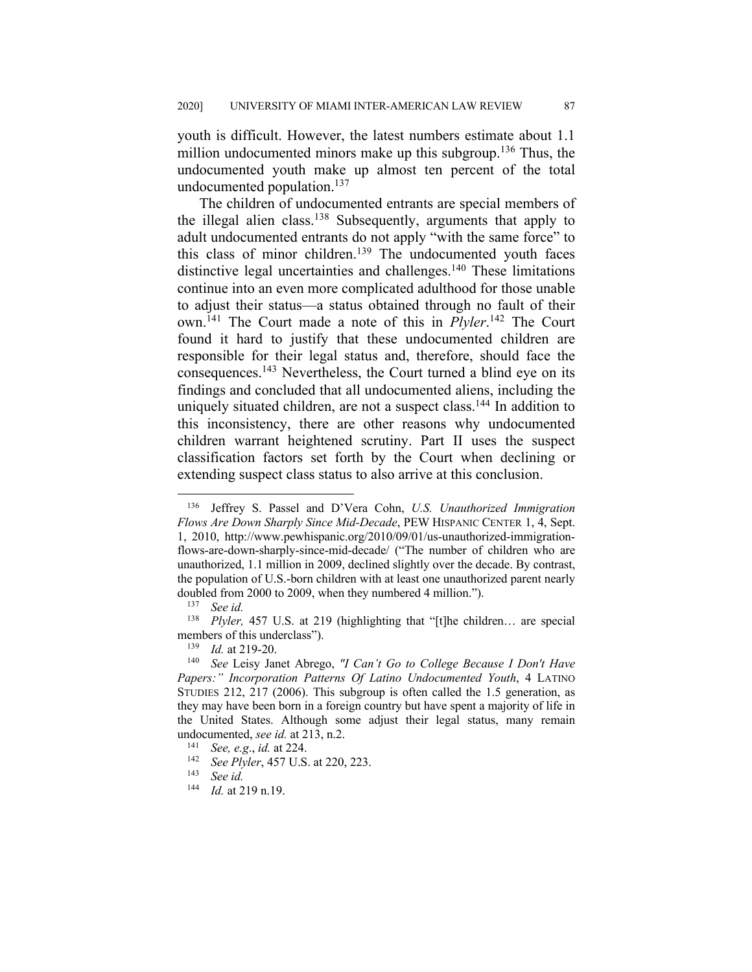youth is difficult. However, the latest numbers estimate about 1.1 million undocumented minors make up this subgroup.<sup>136</sup> Thus, the undocumented youth make up almost ten percent of the total undocumented population.137

The children of undocumented entrants are special members of the illegal alien class.<sup>138</sup> Subsequently, arguments that apply to adult undocumented entrants do not apply "with the same force" to this class of minor children.<sup>139</sup> The undocumented youth faces distinctive legal uncertainties and challenges.<sup>140</sup> These limitations continue into an even more complicated adulthood for those unable to adjust their status—a status obtained through no fault of their own.141 The Court made a note of this in *Plyler*. <sup>142</sup> The Court found it hard to justify that these undocumented children are responsible for their legal status and, therefore, should face the consequences.143 Nevertheless, the Court turned a blind eye on its findings and concluded that all undocumented aliens, including the uniquely situated children, are not a suspect class.<sup>144</sup> In addition to this inconsistency, there are other reasons why undocumented children warrant heightened scrutiny. Part II uses the suspect classification factors set forth by the Court when declining or extending suspect class status to also arrive at this conclusion.

<sup>136</sup> Jeffrey S. Passel and D'Vera Cohn, *U.S. Unauthorized Immigration Flows Are Down Sharply Since Mid-Decade*, PEW HISPANIC CENTER 1, 4, Sept. 1, 2010, http://www.pewhispanic.org/2010/09/01/us-unauthorized-immigrationflows-are-down-sharply-since-mid-decade/ ("The number of children who are unauthorized, 1.1 million in 2009, declined slightly over the decade. By contrast, the population of U.S.-born children with at least one unauthorized parent nearly doubled from 2000 to 2009, when they numbered 4 million.").<br> $\frac{137}{137}$  See id.

See id.

<sup>138</sup> *Plyler,* 457 U.S. at 219 (highlighting that "[t]he children… are special members of this underclass").

<sup>&</sup>lt;sup>139</sup> *Id.* at 219-20.

<sup>140</sup> *See* Leisy Janet Abrego, *"I Can't Go to College Because I Don't Have Papers:" Incorporation Patterns Of Latino Undocumented Youth*, 4 LATINO STUDIES 212, 217 (2006). This subgroup is often called the 1.5 generation, as they may have been born in a foreign country but have spent a majority of life in the United States. Although some adjust their legal status, many remain undocumented, *see id.* at 213, n.2.<br><sup>141</sup> See a.g., id. at 224

<sup>141</sup> *See, e.g*., *id.* at 224.

<sup>&</sup>lt;sup>142</sup> *See Plyler*, 457 U.S. at 220, 223.<br><sup>143</sup> *See id* 

 $\frac{143}{144}$  *See id.*<br> $\frac{144}{10}$  at 2

*Id.* at 219 n.19.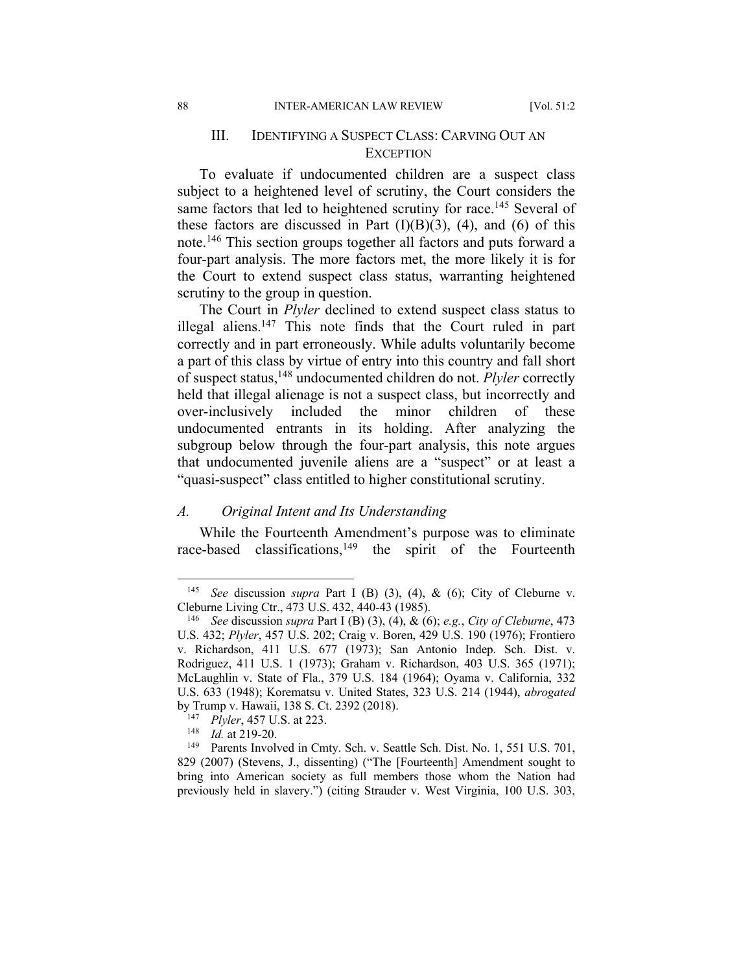## III. IDENTIFYING A SUSPECT CLASS: CARVING OUT AN **EXCEPTION**

To evaluate if undocumented children are a suspect class subject to a heightened level of scrutiny, the Court considers the same factors that led to heightened scrutiny for race.<sup>145</sup> Several of these factors are discussed in Part  $(I)(B)(3)$ ,  $(4)$ , and  $(6)$  of this note.146 This section groups together all factors and puts forward a four-part analysis. The more factors met, the more likely it is for the Court to extend suspect class status, warranting heightened scrutiny to the group in question.

The Court in *Plyler* declined to extend suspect class status to illegal aliens.<sup>147</sup> This note finds that the Court ruled in part correctly and in part erroneously. While adults voluntarily become a part of this class by virtue of entry into this country and fall short of suspect status,148 undocumented children do not. *Plyler* correctly held that illegal alienage is not a suspect class, but incorrectly and over-inclusively included the minor children of these undocumented entrants in its holding. After analyzing the subgroup below through the four-part analysis, this note argues that undocumented juvenile aliens are a "suspect" or at least a "quasi-suspect" class entitled to higher constitutional scrutiny.

#### *A. Original Intent and Its Understanding*

While the Fourteenth Amendment's purpose was to eliminate race-based classifications,<sup>149</sup> the spirit of the Fourteenth

<sup>145</sup> *See* discussion *supra* Part I (B) (3), (4), & (6); City of Cleburne v. Cleburne Living Ctr., 473 U.S. 432, 440-43 (1985).

<sup>146</sup> *See* discussion *supra* Part I (B) (3), (4), & (6); *e.g.*, *City of Cleburne*, 473 U.S. 432; *Plyler*, 457 U.S. 202; Craig v. Boren, 429 U.S. 190 (1976); Frontiero v. Richardson, 411 U.S. 677 (1973); San Antonio Indep. Sch. Dist. v. Rodriguez, 411 U.S. 1 (1973); Graham v. Richardson, 403 U.S. 365 (1971); McLaughlin v. State of Fla., 379 U.S. 184 (1964); Oyama v. California, 332 U.S. 633 (1948); Korematsu v. United States, 323 U.S. 214 (1944), *abrogated* by Trump v. Hawaii, 138 S. Ct. 2392 (2018).

<sup>&</sup>lt;sup>147</sup> *Plyler*, 457 U.S. at 223.<br><sup>148</sup> *Id.* at 219-20

*Id.* at 219-20.

<sup>&</sup>lt;sup>149</sup> Parents Involved in Cmty. Sch. v. Seattle Sch. Dist. No. 1, 551 U.S. 701, 829 (2007) (Stevens, J., dissenting) ("The [Fourteenth] Amendment sought to bring into American society as full members those whom the Nation had previously held in slavery.") (citing Strauder v. West Virginia, 100 U.S. 303,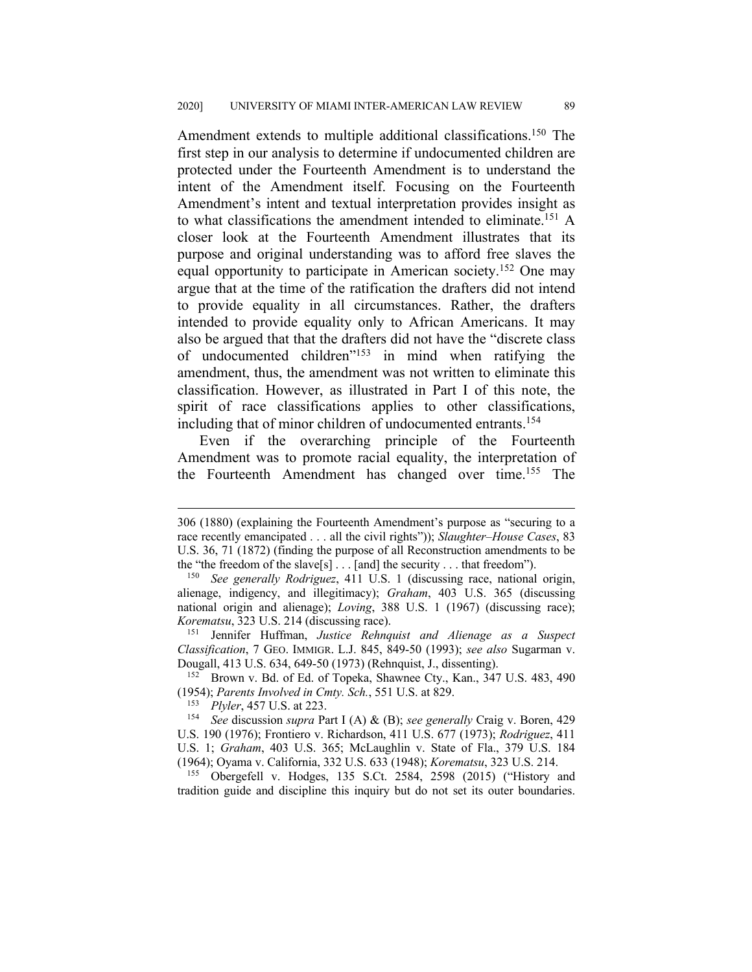Amendment extends to multiple additional classifications.<sup>150</sup> The first step in our analysis to determine if undocumented children are protected under the Fourteenth Amendment is to understand the intent of the Amendment itself. Focusing on the Fourteenth Amendment's intent and textual interpretation provides insight as to what classifications the amendment intended to eliminate.<sup>151</sup> A closer look at the Fourteenth Amendment illustrates that its purpose and original understanding was to afford free slaves the equal opportunity to participate in American society.152 One may argue that at the time of the ratification the drafters did not intend to provide equality in all circumstances. Rather, the drafters intended to provide equality only to African Americans. It may also be argued that that the drafters did not have the "discrete class of undocumented children<sup>"153</sup> in mind when ratifying the amendment, thus, the amendment was not written to eliminate this classification. However, as illustrated in Part I of this note, the spirit of race classifications applies to other classifications, including that of minor children of undocumented entrants.<sup>154</sup>

Even if the overarching principle of the Fourteenth Amendment was to promote racial equality, the interpretation of the Fourteenth Amendment has changed over time.155 The

<sup>306 (1880) (</sup>explaining the Fourteenth Amendment's purpose as "securing to a race recently emancipated . . . all the civil rights")); *Slaughter–House Cases*, 83 U.S. 36, 71 (1872) (finding the purpose of all Reconstruction amendments to be the "the freedom of the slave[s] . . . [and] the security . . . that freedom").

<sup>150</sup> *See generally Rodriguez*, 411 U.S. 1 (discussing race, national origin, alienage, indigency, and illegitimacy); *Graham*, 403 U.S. 365 (discussing national origin and alienage); *Loving*, 388 U.S. 1 (1967) (discussing race); *Korematsu*, 323 U.S. 214 (discussing race).

<sup>151</sup> Jennifer Huffman, *Justice Rehnquist and Alienage as a Suspect Classification*, 7 GEO. IMMIGR. L.J. 845, 849-50 (1993); *see also* Sugarman v. Dougall, 413 U.S. 634, 649-50 (1973) (Rehnquist, J., dissenting).

<sup>152</sup> Brown v. Bd. of Ed. of Topeka, Shawnee Cty., Kan., 347 U.S. 483, 490 (1954); *Parents Involved in Cmty. Sch.*, 551 U.S. at 829.

*Plyler*, 457 U.S. at 223.

<sup>154</sup> *See* discussion *supra* Part I (A) & (B); *see generally* Craig v. Boren, 429 U.S. 190 (1976); Frontiero v. Richardson, 411 U.S. 677 (1973); *Rodriguez*, 411 U.S. 1; *Graham*, 403 U.S. 365; McLaughlin v. State of Fla., 379 U.S. 184 (1964); Oyama v. California, 332 U.S. 633 (1948); *Korematsu*, 323 U.S. 214.

<sup>155</sup> Obergefell v. Hodges, 135 S.Ct. 2584, 2598 (2015) ("History and tradition guide and discipline this inquiry but do not set its outer boundaries.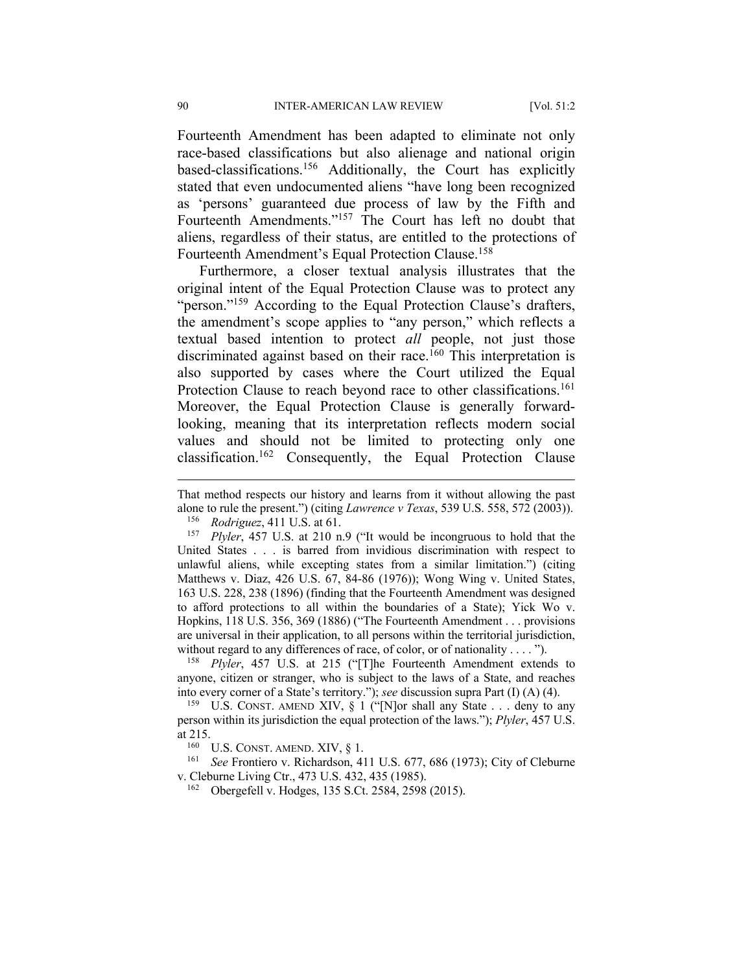Fourteenth Amendment has been adapted to eliminate not only race-based classifications but also alienage and national origin based-classifications.156 Additionally, the Court has explicitly stated that even undocumented aliens "have long been recognized as 'persons' guaranteed due process of law by the Fifth and Fourteenth Amendments."157 The Court has left no doubt that aliens, regardless of their status, are entitled to the protections of Fourteenth Amendment's Equal Protection Clause.158

Furthermore, a closer textual analysis illustrates that the original intent of the Equal Protection Clause was to protect any "person."<sup>159</sup> According to the Equal Protection Clause's drafters, the amendment's scope applies to "any person," which reflects a textual based intention to protect *all* people, not just those discriminated against based on their race.<sup>160</sup> This interpretation is also supported by cases where the Court utilized the Equal Protection Clause to reach beyond race to other classifications.<sup>161</sup> Moreover, the Equal Protection Clause is generally forwardlooking, meaning that its interpretation reflects modern social values and should not be limited to protecting only one classification.162 Consequently, the Equal Protection Clause

That method respects our history and learns from it without allowing the past alone to rule the present.") (citing *Lawrence v Texas*, 539 U.S. 558, 572 (2003)).

<sup>156</sup> *Rodriguez*, 411 U.S. at 61.

<sup>157</sup> *Plyler*, 457 U.S. at 210 n.9 ("It would be incongruous to hold that the United States . . . is barred from invidious discrimination with respect to unlawful aliens, while excepting states from a similar limitation.") (citing Matthews v. Diaz, 426 U.S. 67, 84-86 (1976)); Wong Wing v. United States, 163 U.S. 228, 238 (1896) (finding that the Fourteenth Amendment was designed to afford protections to all within the boundaries of a State); Yick Wo v. Hopkins, 118 U.S. 356, 369 (1886) ("The Fourteenth Amendment . . . provisions are universal in their application, to all persons within the territorial jurisdiction, without regard to any differences of race, of color, or of nationality . . . . ").

<sup>158</sup> *Plyler*, 457 U.S. at 215 ("[T]he Fourteenth Amendment extends to anyone, citizen or stranger, who is subject to the laws of a State, and reaches into every corner of a State's territory."); *see* discussion supra Part (I) (A) (4).

<sup>159</sup> U.S. CONST. AMEND XIV,  $\S 1$  ("[N]or shall any State . . . deny to any person within its jurisdiction the equal protection of the laws."); *Plyler*, 457 U.S. at 215.

U.S. CONST. AMEND. XIV,  $\S$  1.

<sup>161</sup> *See* Frontiero v. Richardson, 411 U.S. 677, 686 (1973); City of Cleburne v. Cleburne Living Ctr., 473 U.S. 432, 435 (1985).

<sup>162</sup> Obergefell v. Hodges, 135 S.Ct. 2584, 2598 (2015).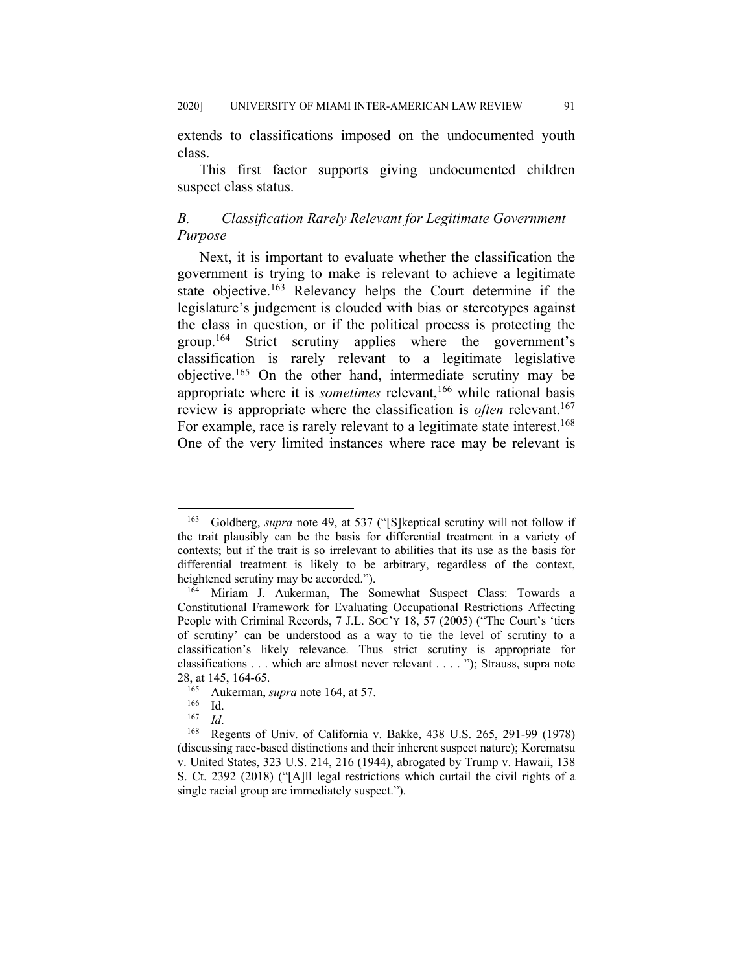extends to classifications imposed on the undocumented youth class.

This first factor supports giving undocumented children suspect class status.

## *B. Classification Rarely Relevant for Legitimate Government Purpose*

Next, it is important to evaluate whether the classification the government is trying to make is relevant to achieve a legitimate state objective.<sup>163</sup> Relevancy helps the Court determine if the legislature's judgement is clouded with bias or stereotypes against the class in question, or if the political process is protecting the group.164 Strict scrutiny applies where the government's classification is rarely relevant to a legitimate legislative objective.165 On the other hand, intermediate scrutiny may be appropriate where it is *sometimes* relevant,<sup>166</sup> while rational basis review is appropriate where the classification is *often* relevant.<sup>167</sup> For example, race is rarely relevant to a legitimate state interest.<sup>168</sup> One of the very limited instances where race may be relevant is

<sup>163</sup> Goldberg, *supra* note 49, at 537 ("[S]keptical scrutiny will not follow if the trait plausibly can be the basis for differential treatment in a variety of contexts; but if the trait is so irrelevant to abilities that its use as the basis for differential treatment is likely to be arbitrary, regardless of the context, heightened scrutiny may be accorded.").

<sup>164</sup> Miriam J. Aukerman, The Somewhat Suspect Class: Towards a Constitutional Framework for Evaluating Occupational Restrictions Affecting People with Criminal Records, 7 J.L. SOC'Y 18, 57 (2005) ("The Court's 'tiers of scrutiny' can be understood as a way to tie the level of scrutiny to a classification's likely relevance. Thus strict scrutiny is appropriate for classifications . . . which are almost never relevant . . . . "); Strauss, supra note 28, at 145, 164-65.

<sup>&</sup>lt;sup>165</sup> Aukerman, *supra* note 164, at 57.<br><sup>166</sup> Id

 $\frac{166}{167}$  Id.

 $\frac{167}{168}$  *Id.* 

Regents of Univ. of California v. Bakke, 438 U.S. 265, 291-99 (1978) (discussing race-based distinctions and their inherent suspect nature); Korematsu v. United States, 323 U.S. 214, 216 (1944), abrogated by Trump v. Hawaii, 138 S. Ct. 2392 (2018) ("[A]ll legal restrictions which curtail the civil rights of a single racial group are immediately suspect.").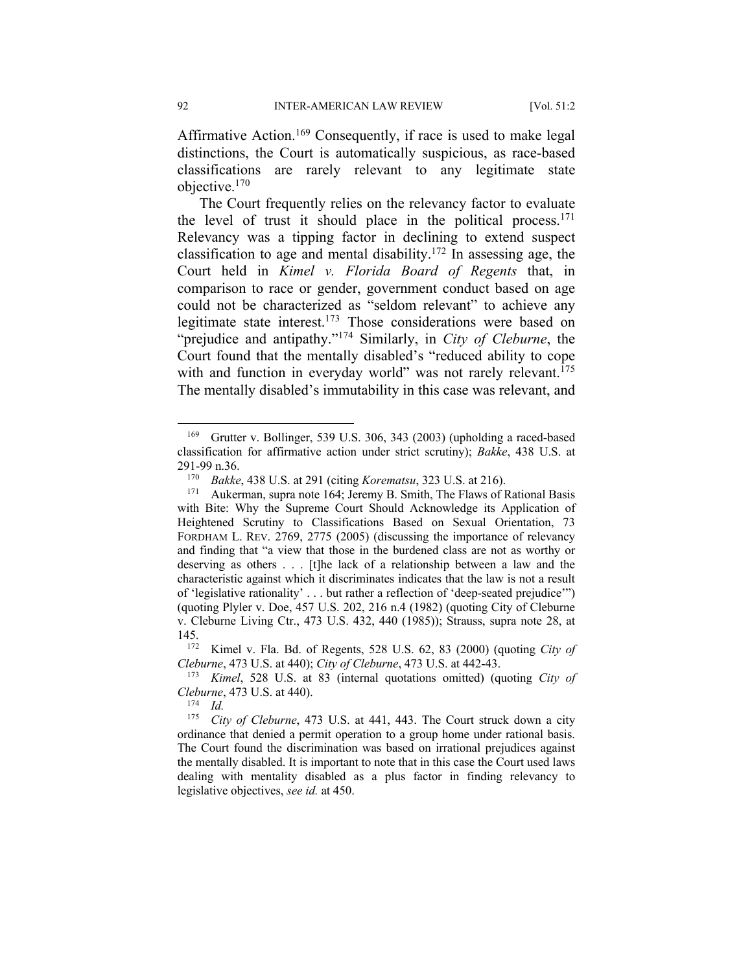Affirmative Action.<sup>169</sup> Consequently, if race is used to make legal distinctions, the Court is automatically suspicious, as race-based classifications are rarely relevant to any legitimate state objective.170

The Court frequently relies on the relevancy factor to evaluate the level of trust it should place in the political process.<sup>171</sup> Relevancy was a tipping factor in declining to extend suspect classification to age and mental disability.<sup>172</sup> In assessing age, the Court held in *Kimel v. Florida Board of Regents* that, in comparison to race or gender, government conduct based on age could not be characterized as "seldom relevant" to achieve any legitimate state interest.<sup>173</sup> Those considerations were based on "prejudice and antipathy."174 Similarly, in *City of Cleburne*, the Court found that the mentally disabled's "reduced ability to cope with and function in everyday world" was not rarely relevant.<sup>175</sup> The mentally disabled's immutability in this case was relevant, and

<sup>174</sup> *Id.* 

<sup>169</sup> Grutter v. Bollinger, 539 U.S. 306, 343 (2003) (upholding a raced-based classification for affirmative action under strict scrutiny); *Bakke*, 438 U.S. at 291-99 n.36.

<sup>170</sup> *Bakke*, 438 U.S. at 291 (citing *Korematsu*, 323 U.S. at 216).

Aukerman, supra note 164; Jeremy B. Smith, The Flaws of Rational Basis with Bite: Why the Supreme Court Should Acknowledge its Application of Heightened Scrutiny to Classifications Based on Sexual Orientation, 73 FORDHAM L. REV. 2769, 2775 (2005) (discussing the importance of relevancy and finding that "a view that those in the burdened class are not as worthy or deserving as others . . . [t]he lack of a relationship between a law and the characteristic against which it discriminates indicates that the law is not a result of 'legislative rationality' . . . but rather a reflection of 'deep-seated prejudice'") (quoting Plyler v. Doe, 457 U.S. 202, 216 n.4 (1982) (quoting City of Cleburne v. Cleburne Living Ctr., 473 U.S. 432, 440 (1985)); Strauss, supra note 28, at  $\frac{145}{172}$ 

Kimel v. Fla. Bd. of Regents, 528 U.S. 62, 83 (2000) (quoting *City of Cleburne*, 473 U.S. at 440); *City of Cleburne*, 473 U.S. at 442-43.

<sup>173</sup> *Kimel*, 528 U.S. at 83 (internal quotations omitted) (quoting *City of Cleburne*, 473 U.S. at 440).

<sup>175</sup> *City of Cleburne*, 473 U.S. at 441, 443. The Court struck down a city ordinance that denied a permit operation to a group home under rational basis. The Court found the discrimination was based on irrational prejudices against the mentally disabled. It is important to note that in this case the Court used laws dealing with mentality disabled as a plus factor in finding relevancy to legislative objectives, *see id.* at 450.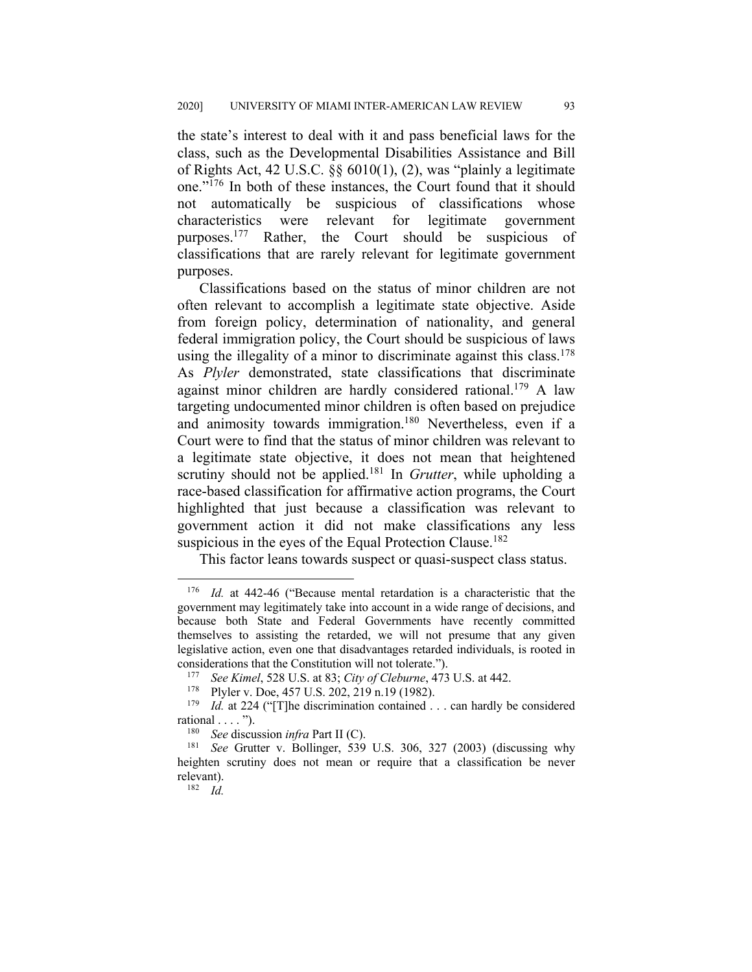the state's interest to deal with it and pass beneficial laws for the class, such as the Developmental Disabilities Assistance and Bill of Rights Act, 42 U.S.C. §§ 6010(1), (2), was "plainly a legitimate one."176 In both of these instances, the Court found that it should not automatically be suspicious of classifications whose characteristics were relevant for legitimate government purposes.177 Rather, the Court should be suspicious of classifications that are rarely relevant for legitimate government purposes.

Classifications based on the status of minor children are not often relevant to accomplish a legitimate state objective. Aside from foreign policy, determination of nationality, and general federal immigration policy, the Court should be suspicious of laws using the illegality of a minor to discriminate against this class.<sup>178</sup> As *Plyler* demonstrated, state classifications that discriminate against minor children are hardly considered rational.<sup>179</sup> A law targeting undocumented minor children is often based on prejudice and animosity towards immigration.<sup>180</sup> Nevertheless, even if a Court were to find that the status of minor children was relevant to a legitimate state objective, it does not mean that heightened scrutiny should not be applied.<sup>181</sup> In *Grutter*, while upholding a race-based classification for affirmative action programs, the Court highlighted that just because a classification was relevant to government action it did not make classifications any less suspicious in the eyes of the Equal Protection Clause.<sup>182</sup>

This factor leans towards suspect or quasi-suspect class status.

<sup>176</sup> *Id.* at 442-46 ("Because mental retardation is a characteristic that the government may legitimately take into account in a wide range of decisions, and because both State and Federal Governments have recently committed themselves to assisting the retarded, we will not presume that any given legislative action, even one that disadvantages retarded individuals, is rooted in considerations that the Constitution will not tolerate.").

<sup>177</sup> *See Kimel*, 528 U.S. at 83; *City of Cleburne*, 473 U.S. at 442.

<sup>&</sup>lt;sup>178</sup> Plyler v. Doe, 457 U.S. 202, 219 n.19 (1982).<sup>179</sup> *Id* at 224 ("The discrimination contained

*Id.* at 224 ("[T]he discrimination contained . . . can hardly be considered rational . . . . ").

<sup>180</sup> *See* discussion *infra* Part II (C).

<sup>181</sup> *See* Grutter v. Bollinger, 539 U.S. 306, 327 (2003) (discussing why heighten scrutiny does not mean or require that a classification be never relevant).

<sup>182</sup> *Id.*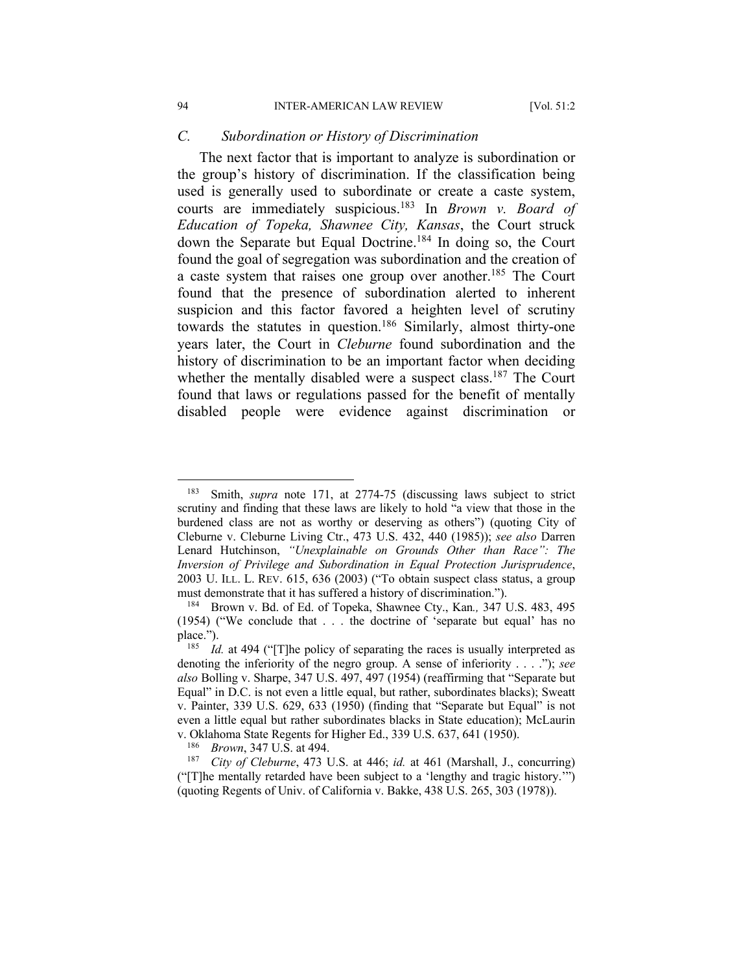#### *C. Subordination or History of Discrimination*

The next factor that is important to analyze is subordination or the group's history of discrimination. If the classification being used is generally used to subordinate or create a caste system, courts are immediately suspicious.183 In *Brown v. Board of Education of Topeka, Shawnee City, Kansas*, the Court struck down the Separate but Equal Doctrine.<sup>184</sup> In doing so, the Court found the goal of segregation was subordination and the creation of a caste system that raises one group over another.<sup>185</sup> The Court found that the presence of subordination alerted to inherent suspicion and this factor favored a heighten level of scrutiny towards the statutes in question.<sup>186</sup> Similarly, almost thirty-one years later, the Court in *Cleburne* found subordination and the history of discrimination to be an important factor when deciding whether the mentally disabled were a suspect class.<sup>187</sup> The Court found that laws or regulations passed for the benefit of mentally disabled people were evidence against discrimination or

<sup>183</sup> Smith, *supra* note 171, at 2774-75 (discussing laws subject to strict scrutiny and finding that these laws are likely to hold "a view that those in the burdened class are not as worthy or deserving as others") (quoting City of Cleburne v. Cleburne Living Ctr., 473 U.S. 432, 440 (1985)); *see also* Darren Lenard Hutchinson, *"Unexplainable on Grounds Other than Race": The Inversion of Privilege and Subordination in Equal Protection Jurisprudence*, 2003 U. ILL. L. REV. 615, 636 (2003) ("To obtain suspect class status, a group must demonstrate that it has suffered a history of discrimination.").

<sup>184</sup> Brown v. Bd. of Ed. of Topeka, Shawnee Cty., Kan*.,* 347 U.S. 483, 495 (1954) ("We conclude that . . . the doctrine of 'separate but equal' has no place.").

<sup>&</sup>lt;sup>185</sup> *Id.* at 494 ("The policy of separating the races is usually interpreted as denoting the inferiority of the negro group. A sense of inferiority . . . ."); *see also* Bolling v. Sharpe, 347 U.S. 497, 497 (1954) (reaffirming that "Separate but Equal" in D.C. is not even a little equal, but rather, subordinates blacks); Sweatt v. Painter, 339 U.S. 629, 633 (1950) (finding that "Separate but Equal" is not even a little equal but rather subordinates blacks in State education); McLaurin v. Oklahoma State Regents for Higher Ed., 339 U.S. 637, 641 (1950).

<sup>186</sup> *Brown*, 347 U.S. at 494.

<sup>187</sup> *City of Cleburne*, 473 U.S. at 446; *id.* at 461 (Marshall, J., concurring) ("[T]he mentally retarded have been subject to a 'lengthy and tragic history.'") (quoting Regents of Univ. of California v. Bakke, 438 U.S. 265, 303 (1978)).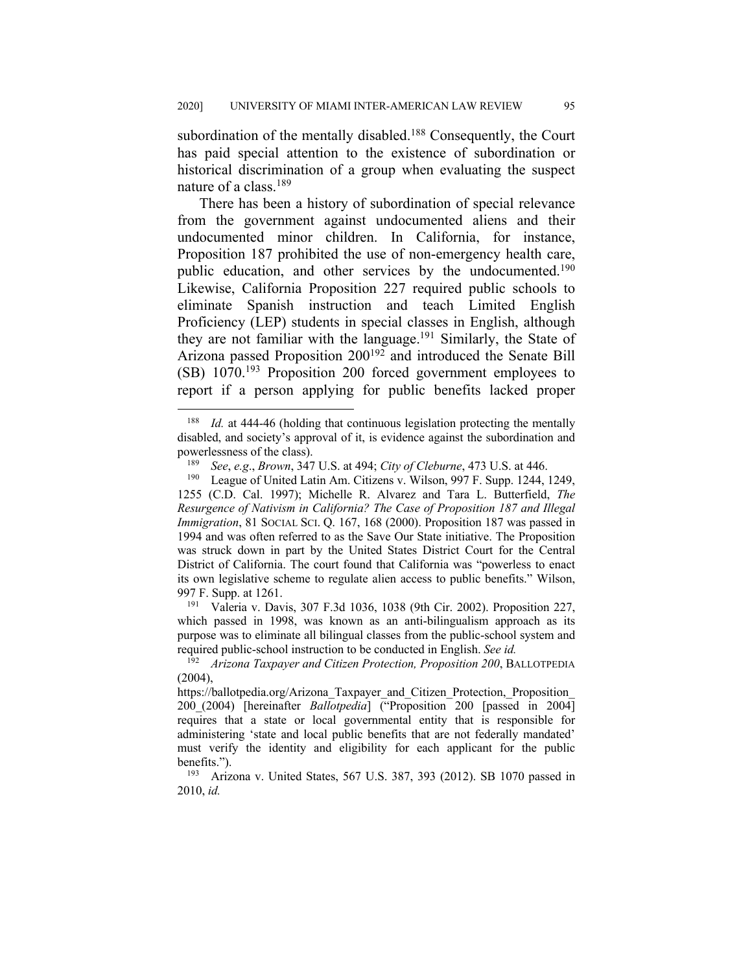subordination of the mentally disabled.<sup>188</sup> Consequently, the Court has paid special attention to the existence of subordination or historical discrimination of a group when evaluating the suspect nature of a class.189

There has been a history of subordination of special relevance from the government against undocumented aliens and their undocumented minor children. In California, for instance, Proposition 187 prohibited the use of non-emergency health care, public education, and other services by the undocumented.<sup>190</sup> Likewise, California Proposition 227 required public schools to eliminate Spanish instruction and teach Limited English Proficiency (LEP) students in special classes in English, although they are not familiar with the language.<sup>191</sup> Similarly, the State of Arizona passed Proposition 200<sup>192</sup> and introduced the Senate Bill (SB) 1070.193 Proposition 200 forced government employees to report if a person applying for public benefits lacked proper

<sup>191</sup> Valeria v. Davis, 307 F.3d 1036, 1038 (9th Cir. 2002). Proposition 227, which passed in 1998, was known as an anti-bilingualism approach as its purpose was to eliminate all bilingual classes from the public-school system and required public-school instruction to be conducted in English. *See id.*

<sup>&</sup>lt;sup>188</sup> *Id.* at 444-46 (holding that continuous legislation protecting the mentally disabled, and society's approval of it, is evidence against the subordination and powerlessness of the class).<br> $\frac{189}{260}$   $\frac{69}{29}$   $\frac{69}{20}$   $\frac{8}{}$   $\frac{8}{}$ 

<sup>189</sup> *See*, *e.g*., *Brown*, 347 U.S. at 494; *City of Cleburne*, 473 U.S. at 446.

League of United Latin Am. Citizens v. Wilson, 997 F. Supp. 1244, 1249, 1255 (C.D. Cal. 1997); Michelle R. Alvarez and Tara L. Butterfield, *The Resurgence of Nativism in California? The Case of Proposition 187 and Illegal Immigration*, 81 SOCIAL SCI. Q. 167, 168 (2000). Proposition 187 was passed in 1994 and was often referred to as the Save Our State initiative. The Proposition was struck down in part by the United States District Court for the Central District of California. The court found that California was "powerless to enact its own legislative scheme to regulate alien access to public benefits." Wilson, 997 F. Supp. at 1261.

<sup>192</sup> *Arizona Taxpayer and Citizen Protection, Proposition 200*, BALLOTPEDIA (2004),

https://ballotpedia.org/Arizona\_Taxpayer\_and\_Citizen\_Protection,\_Proposition\_ 200\_(2004) [hereinafter *Ballotpedia*] ("Proposition 200 [passed in 2004] requires that a state or local governmental entity that is responsible for administering 'state and local public benefits that are not federally mandated' must verify the identity and eligibility for each applicant for the public benefits.").

<sup>193</sup> Arizona v. United States, 567 U.S. 387, 393 (2012). SB 1070 passed in 2010, *id.*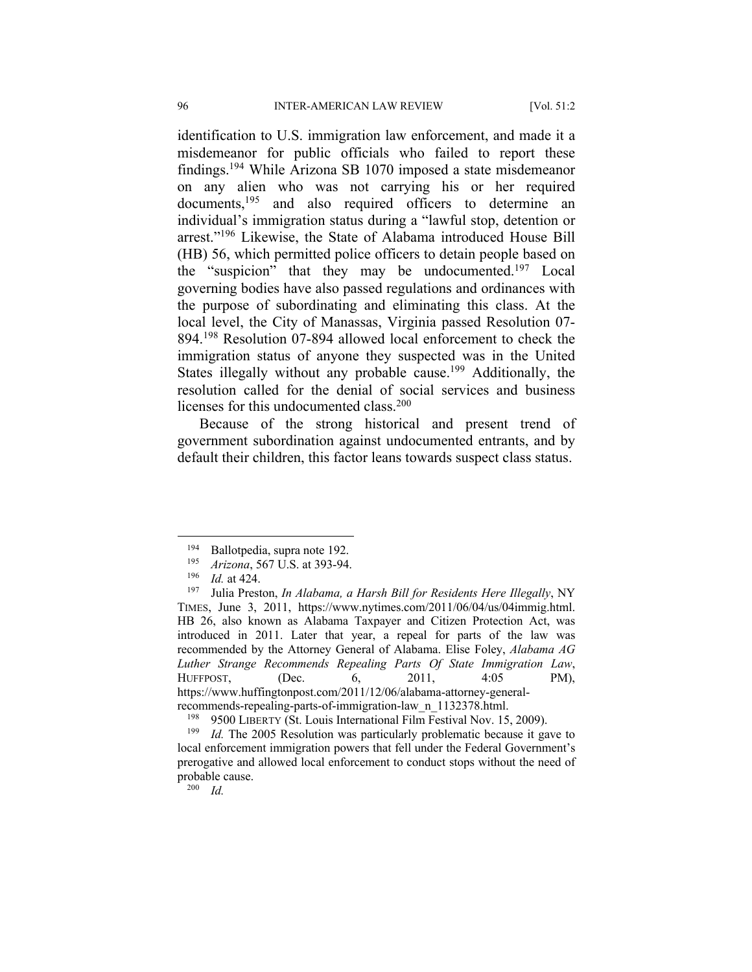identification to U.S. immigration law enforcement, and made it a misdemeanor for public officials who failed to report these findings.194 While Arizona SB 1070 imposed a state misdemeanor on any alien who was not carrying his or her required documents,<sup>195</sup> and also required officers to determine an individual's immigration status during a "lawful stop, detention or arrest."196 Likewise, the State of Alabama introduced House Bill (HB) 56, which permitted police officers to detain people based on the "suspicion" that they may be undocumented.<sup>197</sup> Local governing bodies have also passed regulations and ordinances with the purpose of subordinating and eliminating this class. At the local level, the City of Manassas, Virginia passed Resolution 07- 894.198 Resolution 07-894 allowed local enforcement to check the immigration status of anyone they suspected was in the United States illegally without any probable cause.<sup>199</sup> Additionally, the resolution called for the denial of social services and business licenses for this undocumented class.<sup>200</sup>

Because of the strong historical and present trend of government subordination against undocumented entrants, and by default their children, this factor leans towards suspect class status.

<sup>200</sup> *Id.*

<sup>&</sup>lt;sup>194</sup> Ballotpedia, supra note 192.

<sup>&</sup>lt;sup>195</sup> *Arizona*, 567 U.S. at 393-94.

 $\frac{196}{197}$  *Id.* at 424.

Julia Preston, *In Alabama, a Harsh Bill for Residents Here Illegally*, NY TIMES, June 3, 2011, https://www.nytimes.com/2011/06/04/us/04immig.html. HB 26, also known as Alabama Taxpayer and Citizen Protection Act, was introduced in 2011. Later that year, a repeal for parts of the law was recommended by the Attorney General of Alabama. Elise Foley, *Alabama AG Luther Strange Recommends Repealing Parts Of State Immigration Law*, HUFFPOST, (Dec. 6, 2011, 4:05 PM), https://www.huffingtonpost.com/2011/12/06/alabama-attorney-generalrecommends-repealing-parts-of-immigration-law\_n\_1132378.html.

<sup>&</sup>lt;sup>198</sup> 9500 LIBERTY (St. Louis International Film Festival Nov. 15, 2009).<br><sup>199</sup> Id. The 2005 Resolution was particularly problematic because it ga

*Id.* The 2005 Resolution was particularly problematic because it gave to local enforcement immigration powers that fell under the Federal Government's prerogative and allowed local enforcement to conduct stops without the need of probable cause.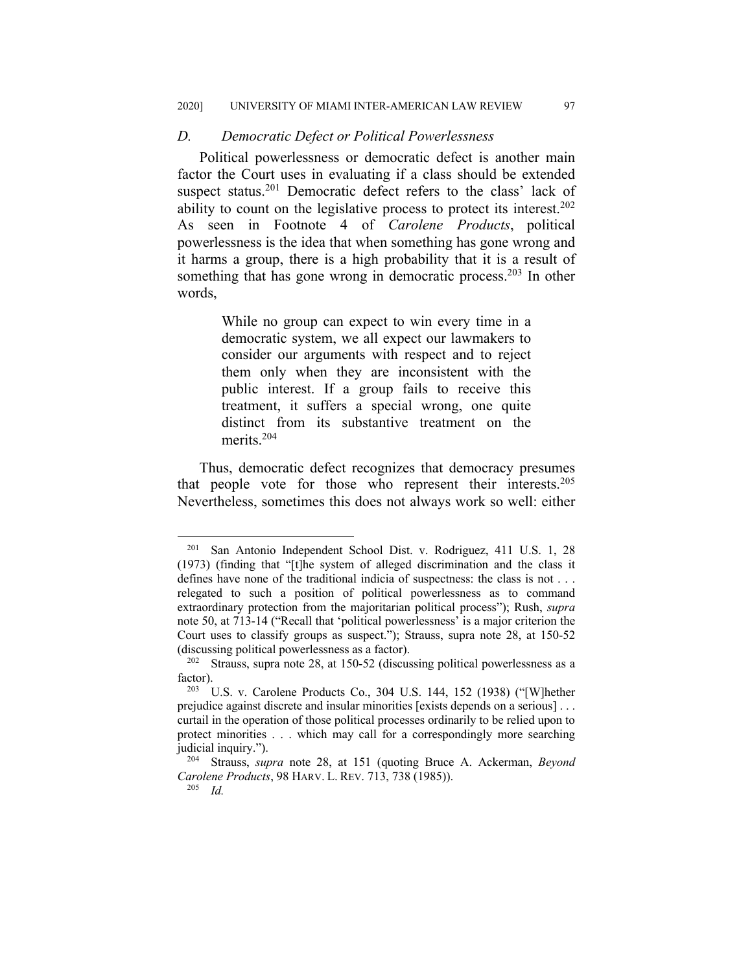#### *D. Democratic Defect or Political Powerlessness*

Political powerlessness or democratic defect is another main factor the Court uses in evaluating if a class should be extended suspect status.<sup>201</sup> Democratic defect refers to the class' lack of ability to count on the legislative process to protect its interest.<sup>202</sup> As seen in Footnote 4 of *Carolene Products*, political powerlessness is the idea that when something has gone wrong and it harms a group, there is a high probability that it is a result of something that has gone wrong in democratic process.<sup>203</sup> In other words,

> While no group can expect to win every time in a democratic system, we all expect our lawmakers to consider our arguments with respect and to reject them only when they are inconsistent with the public interest. If a group fails to receive this treatment, it suffers a special wrong, one quite distinct from its substantive treatment on the merits.204

Thus, democratic defect recognizes that democracy presumes that people vote for those who represent their interests.<sup>205</sup> Nevertheless, sometimes this does not always work so well: either

<sup>201</sup> San Antonio Independent School Dist. v. Rodriguez, 411 U.S. 1, 28 (1973) (finding that "[t]he system of alleged discrimination and the class it defines have none of the traditional indicia of suspectness: the class is not . . . relegated to such a position of political powerlessness as to command extraordinary protection from the majoritarian political process"); Rush, *supra* note 50, at 713-14 ("Recall that 'political powerlessness' is a major criterion the Court uses to classify groups as suspect."); Strauss, supra note 28, at 150-52 (discussing political powerlessness as a factor).

 $202$  Strauss, supra note 28, at 150-52 (discussing political powerlessness as a factor).

<sup>203</sup> U.S. v. Carolene Products Co., 304 U.S. 144, 152 (1938) ("[W]hether prejudice against discrete and insular minorities [exists depends on a serious] . . . curtail in the operation of those political processes ordinarily to be relied upon to protect minorities . . . which may call for a correspondingly more searching judicial inquiry.").

<sup>204</sup> Strauss, *supra* note 28, at 151 (quoting Bruce A. Ackerman, *Beyond Carolene Products*, 98 HARV. L. REV. 713, 738 (1985)).

<sup>205</sup> *Id.*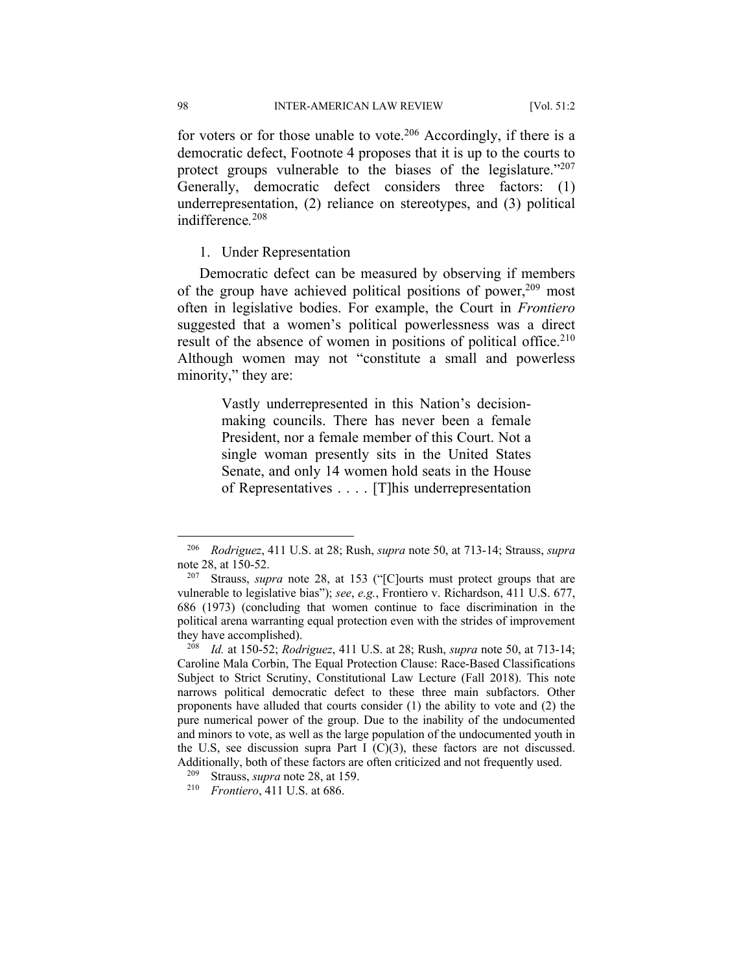for voters or for those unable to vote.<sup>206</sup> Accordingly, if there is a democratic defect, Footnote 4 proposes that it is up to the courts to protect groups vulnerable to the biases of the legislature."207 Generally, democratic defect considers three factors: (1) underrepresentation, (2) reliance on stereotypes, and (3) political indifference*.* 208

#### 1. Under Representation

Democratic defect can be measured by observing if members of the group have achieved political positions of power,  $209$  most often in legislative bodies. For example, the Court in *Frontiero*  suggested that a women's political powerlessness was a direct result of the absence of women in positions of political office.<sup>210</sup> Although women may not "constitute a small and powerless minority," they are:

> Vastly underrepresented in this Nation's decisionmaking councils. There has never been a female President, nor a female member of this Court. Not a single woman presently sits in the United States Senate, and only 14 women hold seats in the House of Representatives . . . . [T]his underrepresentation

<sup>206</sup> *Rodriguez*, 411 U.S. at 28; Rush, *supra* note 50, at 713-14; Strauss, *supra* note 28, at 150-52.

<sup>207</sup> Strauss, *supra* note 28, at 153 ("[C]ourts must protect groups that are vulnerable to legislative bias"); *see*, *e.g.*, Frontiero v. Richardson, 411 U.S. 677, 686 (1973) (concluding that women continue to face discrimination in the political arena warranting equal protection even with the strides of improvement they have accomplished).

<sup>208</sup> *Id.* at 150-52; *Rodriguez*, 411 U.S. at 28; Rush, *supra* note 50, at 713-14; Caroline Mala Corbin, The Equal Protection Clause: Race-Based Classifications Subject to Strict Scrutiny, Constitutional Law Lecture (Fall 2018). This note narrows political democratic defect to these three main subfactors. Other proponents have alluded that courts consider (1) the ability to vote and (2) the pure numerical power of the group. Due to the inability of the undocumented and minors to vote, as well as the large population of the undocumented youth in the U.S, see discussion supra Part I  $(C)(3)$ , these factors are not discussed. Additionally, both of these factors are often criticized and not frequently used.

<sup>209</sup> Strauss, *supra* note 28, at 159.

<sup>210</sup> *Frontiero*, 411 U.S. at 686.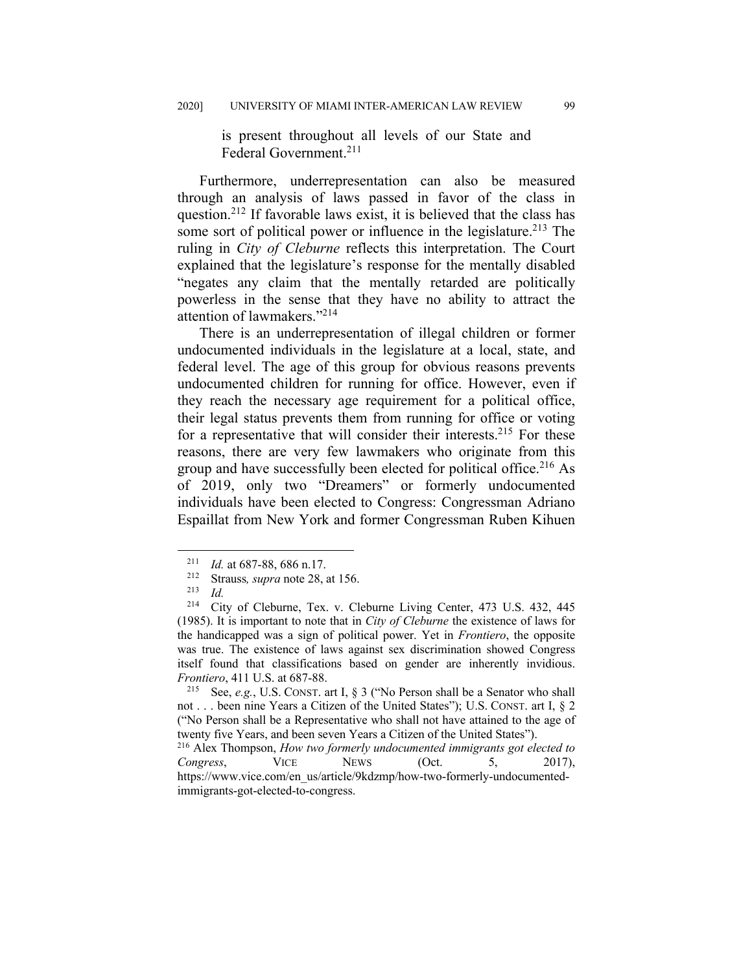is present throughout all levels of our State and Federal Government.211

Furthermore, underrepresentation can also be measured through an analysis of laws passed in favor of the class in question.212 If favorable laws exist, it is believed that the class has some sort of political power or influence in the legislature.<sup>213</sup> The ruling in *City of Cleburne* reflects this interpretation. The Court explained that the legislature's response for the mentally disabled "negates any claim that the mentally retarded are politically powerless in the sense that they have no ability to attract the attention of lawmakers."214

There is an underrepresentation of illegal children or former undocumented individuals in the legislature at a local, state, and federal level. The age of this group for obvious reasons prevents undocumented children for running for office. However, even if they reach the necessary age requirement for a political office, their legal status prevents them from running for office or voting for a representative that will consider their interests.<sup>215</sup> For these reasons, there are very few lawmakers who originate from this group and have successfully been elected for political office.<sup>216</sup> As of 2019, only two "Dreamers" or formerly undocumented individuals have been elected to Congress: Congressman Adriano Espaillat from New York and former Congressman Ruben Kihuen

<sup>211</sup> *Id.* at 687-88, 686 n.17. 212 Strauss*, supra* note 28, at 156.

 $\frac{213}{214}$  *Id.* 

City of Cleburne, Tex. v. Cleburne Living Center, 473 U.S. 432, 445 (1985). It is important to note that in *City of Cleburne* the existence of laws for the handicapped was a sign of political power. Yet in *Frontiero*, the opposite was true. The existence of laws against sex discrimination showed Congress itself found that classifications based on gender are inherently invidious. *Frontiero*, 411 U.S. at 687-88.

<sup>215</sup> See, *e.g.*, U.S. CONST. art I, § 3 ("No Person shall be a Senator who shall not . . . been nine Years a Citizen of the United States"); U.S. CONST. art I, § 2 ("No Person shall be a Representative who shall not have attained to the age of twenty five Years, and been seven Years a Citizen of the United States").

<sup>216</sup> Alex Thompson, *How two formerly undocumented immigrants got elected to Congress*, VICE NEWS (Oct. 5, 2017), https://www.vice.com/en\_us/article/9kdzmp/how-two-formerly-undocumentedimmigrants-got-elected-to-congress.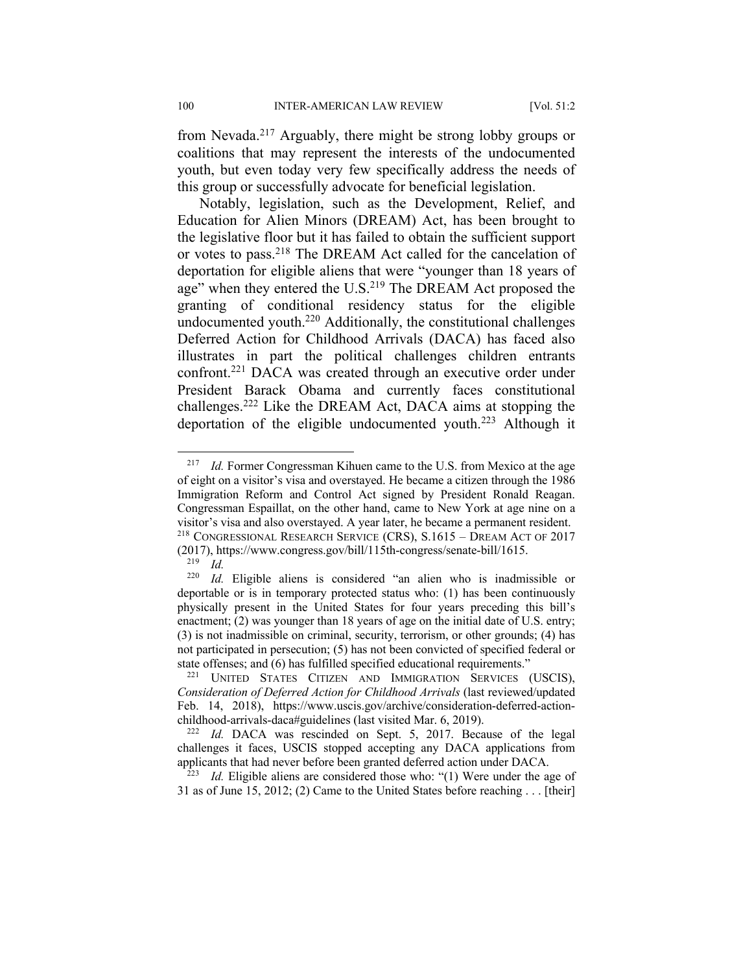from Nevada.217 Arguably, there might be strong lobby groups or coalitions that may represent the interests of the undocumented youth, but even today very few specifically address the needs of this group or successfully advocate for beneficial legislation.

Notably, legislation, such as the Development, Relief, and Education for Alien Minors (DREAM) Act, has been brought to the legislative floor but it has failed to obtain the sufficient support or votes to pass.218 The DREAM Act called for the cancelation of deportation for eligible aliens that were "younger than 18 years of age" when they entered the U.S.<sup>219</sup> The DREAM Act proposed the granting of conditional residency status for the eligible undocumented youth.<sup>220</sup> Additionally, the constitutional challenges Deferred Action for Childhood Arrivals (DACA) has faced also illustrates in part the political challenges children entrants confront.221 DACA was created through an executive order under President Barack Obama and currently faces constitutional challenges.222 Like the DREAM Act, DACA aims at stopping the deportation of the eligible undocumented youth.<sup>223</sup> Although it

<sup>223</sup> *Id.* Eligible aliens are considered those who: "(1) Were under the age of 31 as of June 15, 2012; (2) Came to the United States before reaching . . . [their]

<sup>&</sup>lt;sup>217</sup> *Id.* Former Congressman Kihuen came to the U.S. from Mexico at the age of eight on a visitor's visa and overstayed. He became a citizen through the 1986 Immigration Reform and Control Act signed by President Ronald Reagan. Congressman Espaillat, on the other hand, came to New York at age nine on a visitor's visa and also overstayed. A year later, he became a permanent resident. <sup>218</sup> CONGRESSIONAL RESEARCH SERVICE (CRS), S.1615 – DREAM ACT OF 2017 (2017), https://www.congress.gov/bill/115th-congress/senate-bill/1615.<br> $^{219}$  *Id* 

 $\frac{219}{220}$  *Id.* 

Id. Eligible aliens is considered "an alien who is inadmissible or deportable or is in temporary protected status who: (1) has been continuously physically present in the United States for four years preceding this bill's enactment; (2) was younger than 18 years of age on the initial date of U.S. entry; (3) is not inadmissible on criminal, security, terrorism, or other grounds; (4) has not participated in persecution; (5) has not been convicted of specified federal or state offenses; and (6) has fulfilled specified educational requirements."

<sup>&</sup>lt;sup>221</sup> UNITED STATES CITIZEN AND IMMIGRATION SERVICES (USCIS), *Consideration of Deferred Action for Childhood Arrivals* (last reviewed/updated Feb. 14, 2018), https://www.uscis.gov/archive/consideration-deferred-actionchildhood-arrivals-daca#guidelines (last visited Mar. 6, 2019). 222 *Id.* DACA was rescinded on Sept. 5, 2017. Because of the legal

challenges it faces, USCIS stopped accepting any DACA applications from applicants that had never before been granted deferred action under DACA.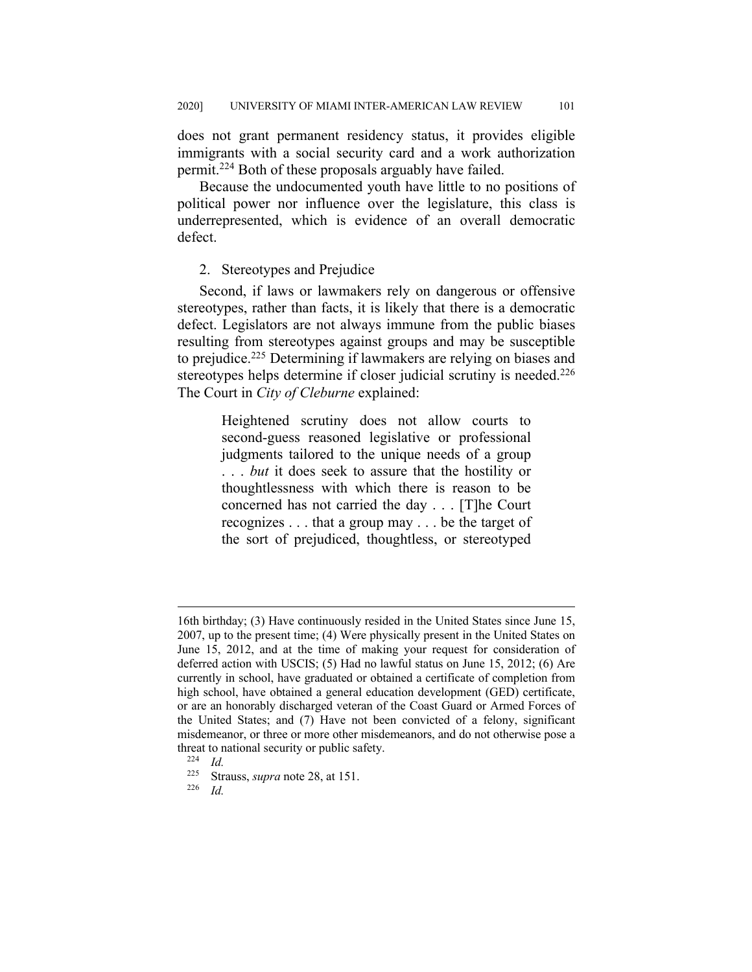does not grant permanent residency status, it provides eligible immigrants with a social security card and a work authorization permit.224 Both of these proposals arguably have failed.

Because the undocumented youth have little to no positions of political power nor influence over the legislature, this class is underrepresented, which is evidence of an overall democratic defect.

## 2. Stereotypes and Prejudice

Second, if laws or lawmakers rely on dangerous or offensive stereotypes, rather than facts, it is likely that there is a democratic defect. Legislators are not always immune from the public biases resulting from stereotypes against groups and may be susceptible to prejudice.225 Determining if lawmakers are relying on biases and stereotypes helps determine if closer judicial scrutiny is needed.<sup>226</sup> The Court in *City of Cleburne* explained:

> Heightened scrutiny does not allow courts to second-guess reasoned legislative or professional judgments tailored to the unique needs of a group . . . *but* it does seek to assure that the hostility or thoughtlessness with which there is reason to be concerned has not carried the day . . . [T]he Court recognizes . . . that a group may . . . be the target of the sort of prejudiced, thoughtless, or stereotyped

<sup>16</sup>th birthday; (3) Have continuously resided in the United States since June 15, 2007, up to the present time; (4) Were physically present in the United States on June 15, 2012, and at the time of making your request for consideration of deferred action with USCIS; (5) Had no lawful status on June 15, 2012; (6) Are currently in school, have graduated or obtained a certificate of completion from high school, have obtained a general education development (GED) certificate, or are an honorably discharged veteran of the Coast Guard or Armed Forces of the United States; and (7) Have not been convicted of a felony, significant misdemeanor, or three or more other misdemeanors, and do not otherwise pose a threat to national security or public safety.<br> $\frac{224}{L}$ 

 $\frac{224}{225}$  *Id.* 

Strauss, *supra* note 28, at 151.

<sup>226</sup> *Id.*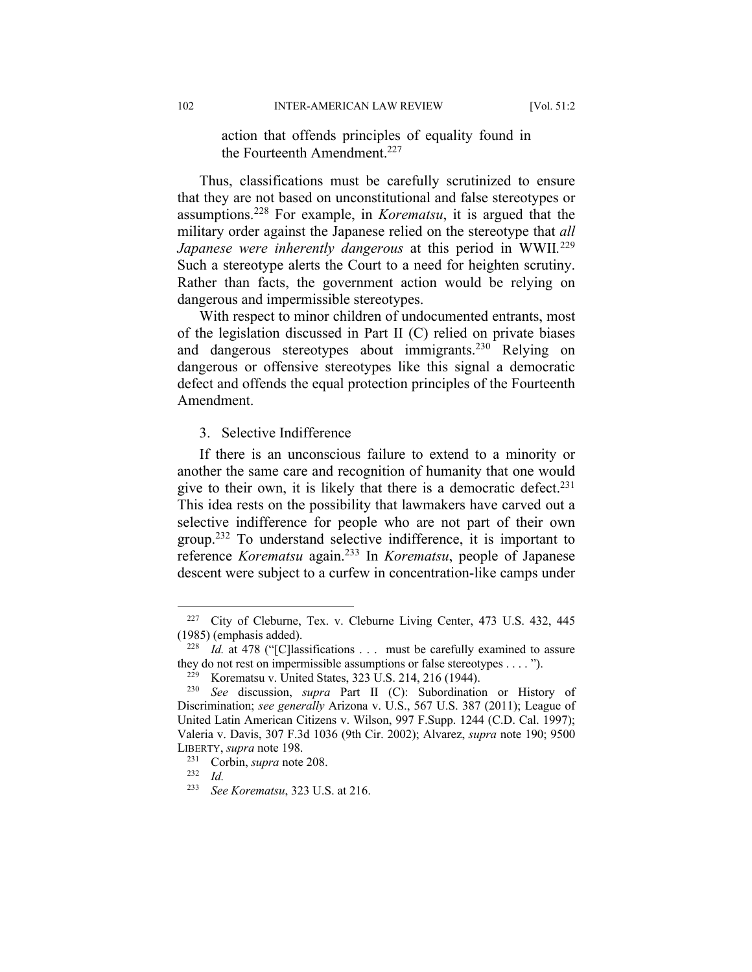action that offends principles of equality found in the Fourteenth Amendment.<sup>227</sup>

Thus, classifications must be carefully scrutinized to ensure that they are not based on unconstitutional and false stereotypes or assumptions.228 For example, in *Korematsu*, it is argued that the military order against the Japanese relied on the stereotype that *all Japanese were inherently dangerous* at this period in WWII*.* 229 Such a stereotype alerts the Court to a need for heighten scrutiny. Rather than facts, the government action would be relying on dangerous and impermissible stereotypes.

With respect to minor children of undocumented entrants, most of the legislation discussed in Part II (C) relied on private biases and dangerous stereotypes about immigrants.<sup>230</sup> Relying on dangerous or offensive stereotypes like this signal a democratic defect and offends the equal protection principles of the Fourteenth Amendment.

#### 3. Selective Indifference

If there is an unconscious failure to extend to a minority or another the same care and recognition of humanity that one would give to their own, it is likely that there is a democratic defect.<sup>231</sup> This idea rests on the possibility that lawmakers have carved out a selective indifference for people who are not part of their own group.232 To understand selective indifference, it is important to reference *Korematsu* again.233 In *Korematsu*, people of Japanese descent were subject to a curfew in concentration-like camps under

<sup>227</sup> City of Cleburne, Tex. v. Cleburne Living Center, 473 U.S. 432, 445 (1985) (emphasis added).

<sup>&</sup>lt;sup>228</sup> *Id.* at 478 ("[C]lassifications . . . must be carefully examined to assure they do not rest on impermissible assumptions or false stereotypes . . . . ").<br><sup>229</sup> Koramatau y, United States 323 U.S. 214, 216 (1944)

<sup>&</sup>lt;sup>229</sup> Korematsu v. United States, 323 U.S. 214, 216 (1944).<br><sup>230</sup> *See* discussion *supra* Part II (C): Subordination

See discussion, *supra* Part II (C): Subordination or History of Discrimination; *see generally* Arizona v. U.S., 567 U.S. 387 (2011); League of United Latin American Citizens v. Wilson, 997 F.Supp. 1244 (C.D. Cal. 1997); Valeria v. Davis, 307 F.3d 1036 (9th Cir. 2002); Alvarez, *supra* note 190; 9500 LIBERTY, *supra* note 198.

Corbin, *supra* note 208.

<sup>232</sup> *Id.*

<sup>233</sup> *See Korematsu*, 323 U.S. at 216.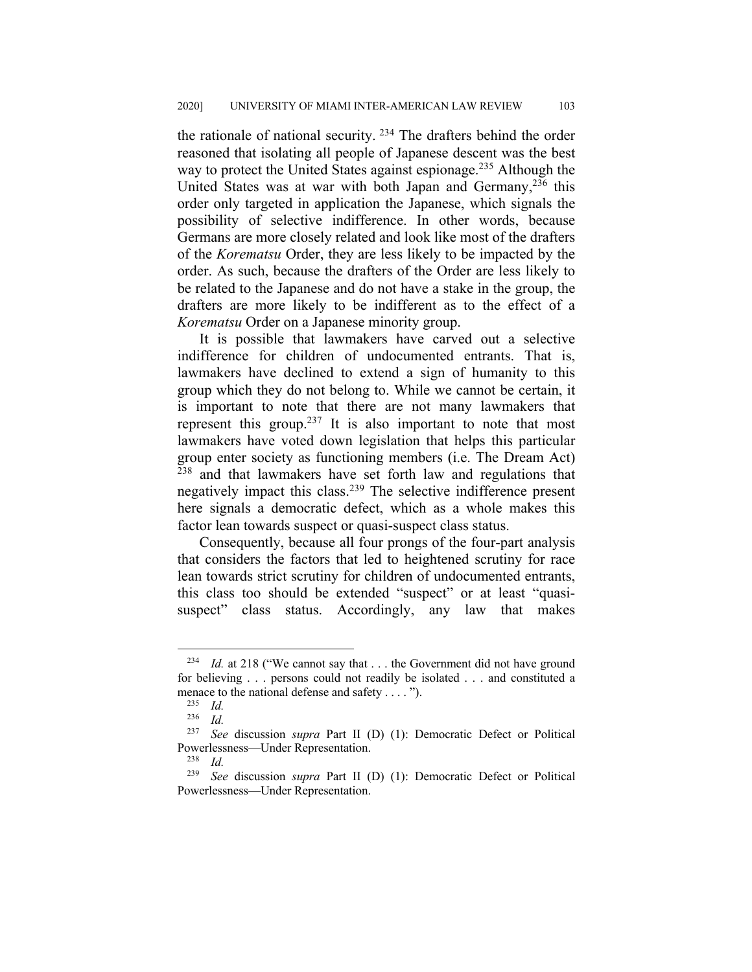the rationale of national security.  $234$  The drafters behind the order reasoned that isolating all people of Japanese descent was the best way to protect the United States against espionage.<sup>235</sup> Although the United States was at war with both Japan and Germany,  $236$  this order only targeted in application the Japanese, which signals the possibility of selective indifference. In other words, because Germans are more closely related and look like most of the drafters of the *Korematsu* Order, they are less likely to be impacted by the order. As such, because the drafters of the Order are less likely to be related to the Japanese and do not have a stake in the group, the drafters are more likely to be indifferent as to the effect of a *Korematsu* Order on a Japanese minority group.

It is possible that lawmakers have carved out a selective indifference for children of undocumented entrants. That is, lawmakers have declined to extend a sign of humanity to this group which they do not belong to. While we cannot be certain, it is important to note that there are not many lawmakers that represent this group.<sup>237</sup> It is also important to note that most lawmakers have voted down legislation that helps this particular group enter society as functioning members (i.e. The Dream Act)  $238$  and that lawmakers have set forth law and regulations that negatively impact this class.239 The selective indifference present here signals a democratic defect, which as a whole makes this factor lean towards suspect or quasi-suspect class status.

Consequently, because all four prongs of the four-part analysis that considers the factors that led to heightened scrutiny for race lean towards strict scrutiny for children of undocumented entrants, this class too should be extended "suspect" or at least "quasisuspect" class status. Accordingly, any law that makes

<sup>&</sup>lt;sup>234</sup> *Id.* at 218 ("We cannot say that . . . the Government did not have ground for believing . . . persons could not readily be isolated . . . and constituted a menace to the national defense and safety . . . . ").

 $\frac{235}{236}$  *Id.* 

 $\frac{236}{237}$  *Id.* 

See discussion *supra* Part II (D) (1): Democratic Defect or Political Powerlessness—Under Representation.<br><sup>238</sup> *M* 

 $\frac{238}{239}$  *Id.* 

See discussion *supra* Part II (D) (1): Democratic Defect or Political Powerlessness—Under Representation.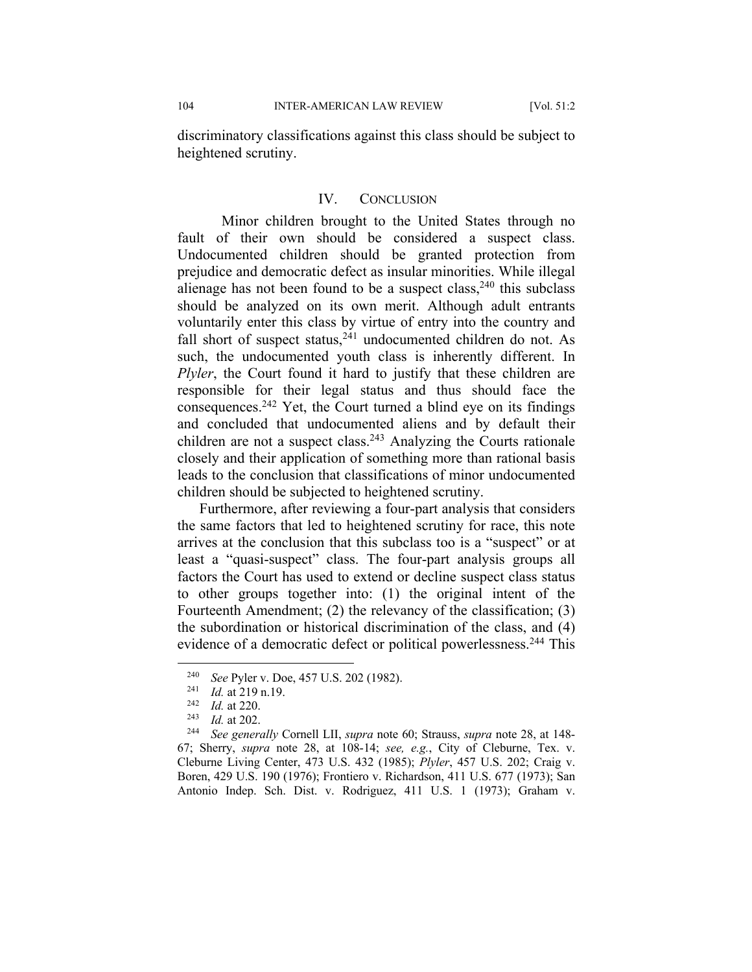discriminatory classifications against this class should be subject to heightened scrutiny.

#### IV. CONCLUSION

Minor children brought to the United States through no fault of their own should be considered a suspect class. Undocumented children should be granted protection from prejudice and democratic defect as insular minorities. While illegal alienage has not been found to be a suspect class,  $240$  this subclass should be analyzed on its own merit. Although adult entrants voluntarily enter this class by virtue of entry into the country and fall short of suspect status, $241$  undocumented children do not. As such, the undocumented youth class is inherently different. In *Plyler*, the Court found it hard to justify that these children are responsible for their legal status and thus should face the consequences.<sup>242</sup> Yet, the Court turned a blind eye on its findings and concluded that undocumented aliens and by default their children are not a suspect class.<sup>243</sup> Analyzing the Courts rationale closely and their application of something more than rational basis leads to the conclusion that classifications of minor undocumented children should be subjected to heightened scrutiny.

Furthermore, after reviewing a four-part analysis that considers the same factors that led to heightened scrutiny for race, this note arrives at the conclusion that this subclass too is a "suspect" or at least a "quasi-suspect" class. The four-part analysis groups all factors the Court has used to extend or decline suspect class status to other groups together into: (1) the original intent of the Fourteenth Amendment; (2) the relevancy of the classification; (3) the subordination or historical discrimination of the class, and (4) evidence of a democratic defect or political powerlessness.<sup>244</sup> This

<sup>240</sup> *See* Pyler v. Doe, 457 U.S. 202 (1982). 241 *Id.* at 219 n.19.

 $\frac{242}{243}$  *Id.* at 220. <sup>243</sup> *Id.* at 202.

<sup>244</sup> *See generally* Cornell LII, *supra* note 60; Strauss, *supra* note 28, at 148- 67; Sherry, *supra* note 28, at 108-14; *see, e.g.*, City of Cleburne, Tex. v. Cleburne Living Center, 473 U.S. 432 (1985); *Plyler*, 457 U.S. 202; Craig v. Boren, 429 U.S. 190 (1976); Frontiero v. Richardson, 411 U.S. 677 (1973); San Antonio Indep. Sch. Dist. v. Rodriguez, 411 U.S. 1 (1973); Graham v.